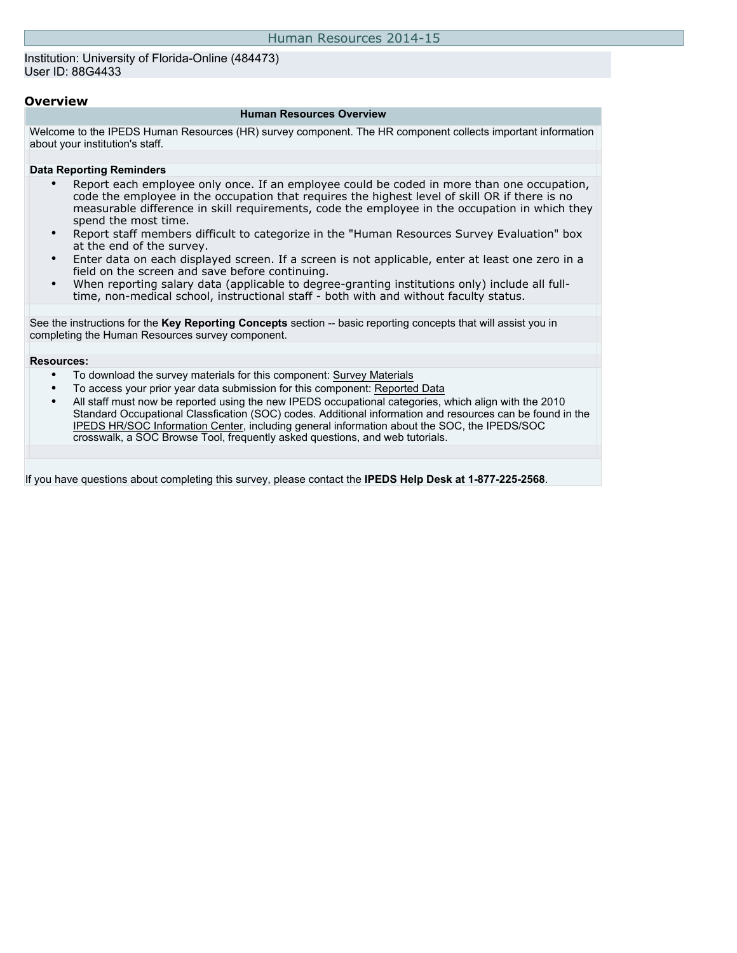Institution: University of Florida-Online (484473) User ID: 88G4433

### **Overview**

#### **Human Resources Overview**

Welcome to the IPEDS Human Resources (HR) survey component. The HR component collects important information about your institution's staff.

#### **Data Reporting Reminders**

- Report each employee only once. If an employee could be coded in more than one occupation, code the employee in the occupation that requires the highest level of skill OR if there is no measurable difference in skill requirements, code the employee in the occupation in which they spend the most time.
- Report staff members difficult to categorize in the "Human Resources Survey Evaluation" box at the end of the survey.
- Enter data on each displayed screen. If a screen is not applicable, enter at least one zero in a field on the screen and save before continuing.
- When reporting salary data (applicable to degree-granting institutions only) include all fulltime, non-medical school, instructional staff - both with and without faculty status.

See the instructions for the **Key Reporting Concepts** section -- basic reporting concepts that will assist you in completing the Human Resources survey component.

#### **Resources:**

- To download the survey materials for this component: [Survey Materials](https://surveys.nces.ed.gov/ipeds/VisIndex.aspx)
- To access your prior year data submission for this component: [Reported Data](https://surveys.nces.ed.gov/IPEDS/PriorYearDataRedirect.aspx?survey_id=1)
- All staff must now be reported using the new IPEDS occupational categories, which align with the 2010 Standard Occupational Classfication (SOC) codes. Additional information and resources can be found in the [IPEDS HR/SOC Information Center](http://nces.ed.gov/ipeds/resource/soc.asp), including general information about the SOC, the IPEDS/SOC crosswalk, a SOC Browse Tool, frequently asked questions, and web tutorials.

If you have questions about completing this survey, please contact the **IPEDS Help Desk at 1-877-225-2568**.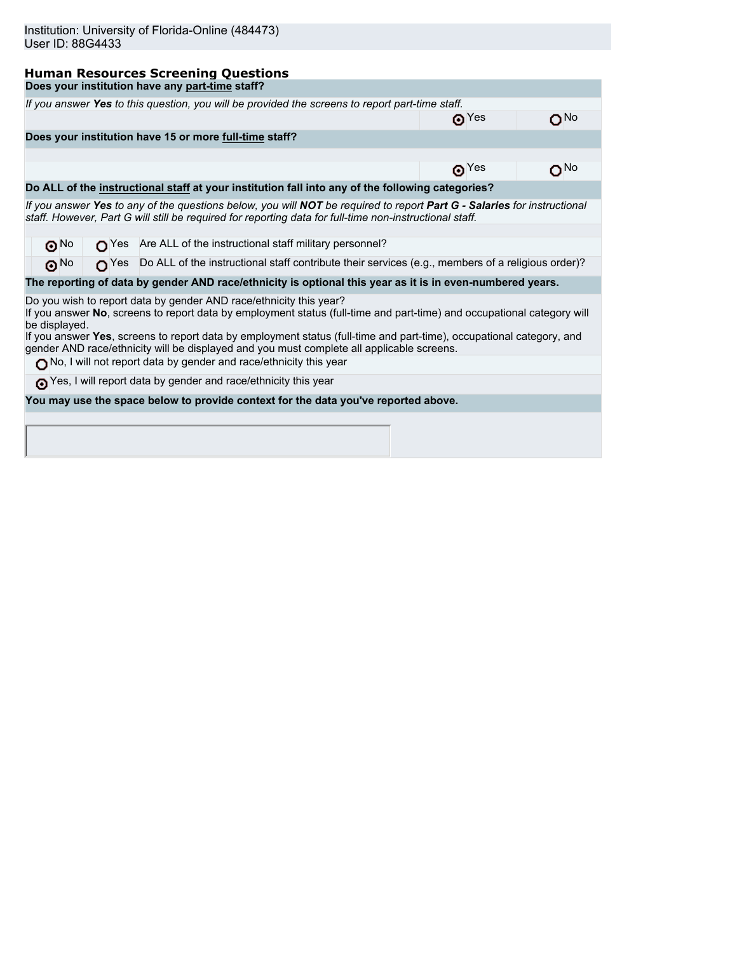|               | <b>Human Resources Screening Questions</b>                                                                                                                                                                                         |             |     |
|---------------|------------------------------------------------------------------------------------------------------------------------------------------------------------------------------------------------------------------------------------|-------------|-----|
|               | Does your institution have any part-time staff?                                                                                                                                                                                    |             |     |
|               | If you answer Yes to this question, you will be provided the screens to report part-time staff.                                                                                                                                    |             |     |
|               |                                                                                                                                                                                                                                    | $\odot$ Yes | ON∘ |
|               | Does your institution have 15 or more full-time staff?                                                                                                                                                                             |             |     |
|               |                                                                                                                                                                                                                                    |             |     |
|               |                                                                                                                                                                                                                                    | $\odot$ Yes | ON⊙ |
|               | Do ALL of the instructional staff at your institution fall into any of the following categories?                                                                                                                                   |             |     |
|               | If you answer Yes to any of the questions below, you will NOT be required to report Part G - Salaries for instructional<br>staff. However, Part G will still be required for reporting data for full-time non-instructional staff. |             |     |
|               |                                                                                                                                                                                                                                    |             |     |
|               | ONo OYes Are ALL of the instructional staff military personnel?                                                                                                                                                                    |             |     |
| ெ $^{\sf No}$ | ↑ Yes Do ALL of the instructional staff contribute their services (e.g., members of a religious order)?                                                                                                                            |             |     |
|               | The reporting of data by gender AND race/ethnicity is optional this year as it is in even-numbered years.                                                                                                                          |             |     |
| be displayed. | Do you wish to report data by gender AND race/ethnicity this year?<br>If you answer No, screens to report data by employment status (full-time and part-time) and occupational category will                                       |             |     |
|               | If you answer Yes, screens to report data by employment status (full-time and part-time), occupational category, and<br>gender AND race/ethnicity will be displayed and you must complete all applicable screens.                  |             |     |
|               | No, I will not report data by gender and race/ethnicity this year                                                                                                                                                                  |             |     |
|               | Yes, I will report data by gender and race/ethnicity this year                                                                                                                                                                     |             |     |
|               | You may use the space below to provide context for the data you've reported above.                                                                                                                                                 |             |     |
|               |                                                                                                                                                                                                                                    |             |     |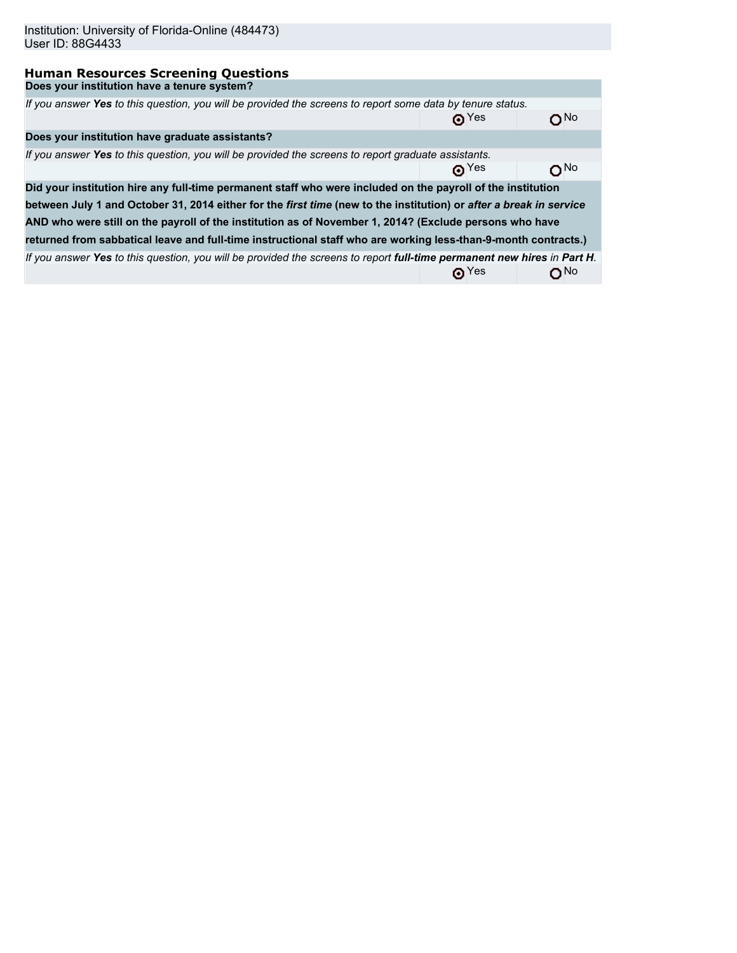| Institution: University of Florida-Online (484473)<br>User ID: 88G4433                                                  |                                |                 |
|-------------------------------------------------------------------------------------------------------------------------|--------------------------------|-----------------|
| <b>Human Resources Screening Questions</b>                                                                              |                                |                 |
| Does your institution have a tenure system?                                                                             |                                |                 |
| If you answer Yes to this question, you will be provided the screens to report some data by tenure status.              |                                |                 |
|                                                                                                                         | $\mathbf{\Theta}^{\text{Yes}}$ | N٥              |
| Does your institution have graduate assistants?                                                                         |                                |                 |
| If you answer Yes to this question, you will be provided the screens to report graduate assistants.                     |                                |                 |
|                                                                                                                         | $\mathbf{\Omega}^{\text{Yes}}$ | oN∩             |
| Did your institution hire any full-time permanent staff who were included on the payroll of the institution             |                                |                 |
| between July 1 and October 31, 2014 either for the first time (new to the institution) or after a break in service      |                                |                 |
| AND who were still on the payroll of the institution as of November 1, 2014? (Exclude persons who have                  |                                |                 |
| returned from sabbatical leave and full-time instructional staff who are working less-than-9-month contracts.)          |                                |                 |
| If you answer Yes to this question, you will be provided the screens to report full-time permanent new hires in Part H. |                                |                 |
|                                                                                                                         | $\mathbf{\Theta}^{\text{Yes}}$ | O <sub>No</sub> |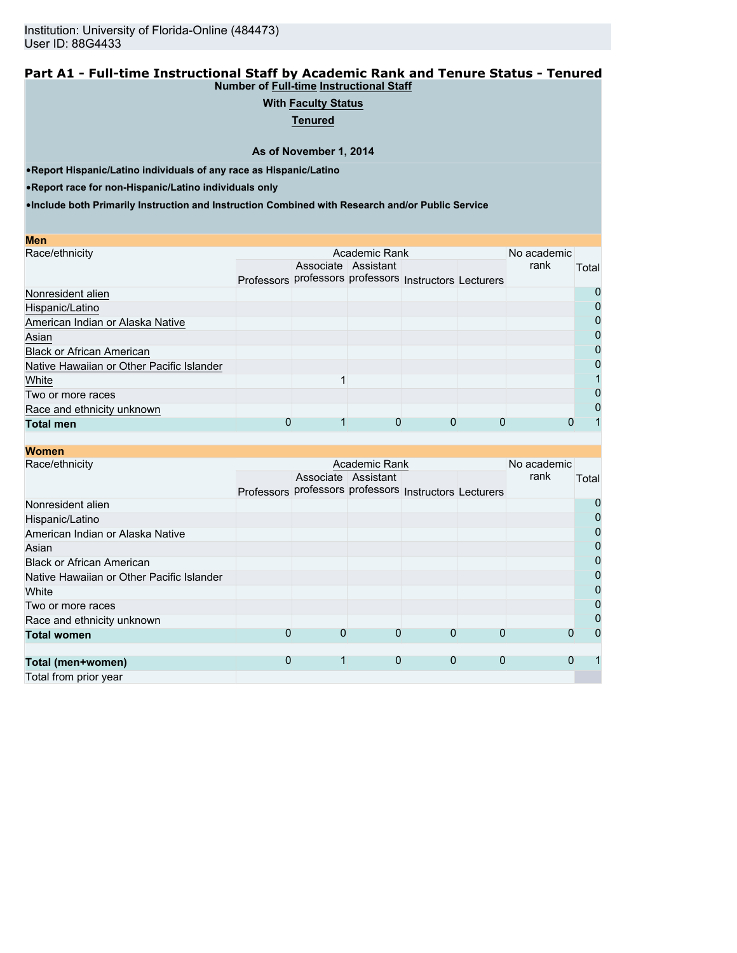### **Part A1 - Full-time Instructional Staff by Academic Rank and Tenure Status - Tenured Number of Full-time Instructional Staff**

# **With Faculty Status**

**Tenured**

**As of November 1, 2014**

•**Report Hispanic/Latino individuals of any race as Hispanic/Latino**

•**Report race for non-Hispanic/Latino individuals only**

| <b>Men</b>                                |            |                                             |                     |   |             |              |
|-------------------------------------------|------------|---------------------------------------------|---------------------|---|-------------|--------------|
| Race/ethnicity                            |            |                                             | Academic Rank       |   | No academic |              |
|                                           |            |                                             | Associate Assistant |   | rank        | Total        |
|                                           | Professors | professors professors Instructors Lecturers |                     |   |             |              |
| Nonresident alien                         |            |                                             |                     |   |             | $\mathbf{O}$ |
| Hispanic/Latino                           |            |                                             |                     |   |             |              |
| American Indian or Alaska Native          |            |                                             |                     |   |             | 0            |
| Asian                                     |            |                                             |                     |   |             | 0            |
| <b>Black or African American</b>          |            |                                             |                     |   |             | 0            |
| Native Hawaiian or Other Pacific Islander |            |                                             |                     |   |             |              |
| White                                     |            |                                             |                     |   |             |              |
| Two or more races                         |            |                                             |                     |   |             | 0            |
| Race and ethnicity unknown                |            |                                             |                     |   |             | $\mathbf{I}$ |
| <b>Total men</b>                          |            |                                             |                     | 0 |             |              |

| <b>Women</b>                              |   |   |                                                        |             |              |             |          |
|-------------------------------------------|---|---|--------------------------------------------------------|-------------|--------------|-------------|----------|
| Race/ethnicity                            |   |   | Academic Rank                                          |             |              | No academic |          |
|                                           |   |   | Associate Assistant                                    |             |              | rank        | Total    |
|                                           |   |   | Professors professors professors Instructors Lecturers |             |              |             |          |
| Nonresident alien                         |   |   |                                                        |             |              |             | 0        |
| Hispanic/Latino                           |   |   |                                                        |             |              |             | 0        |
| American Indian or Alaska Native          |   |   |                                                        |             |              |             | 0        |
| Asian                                     |   |   |                                                        |             |              |             | 0        |
| <b>Black or African American</b>          |   |   |                                                        |             |              |             | 0        |
| Native Hawaiian or Other Pacific Islander |   |   |                                                        |             |              |             | 0        |
| White                                     |   |   |                                                        |             |              |             | 0        |
| Two or more races                         |   |   |                                                        |             |              |             | 0        |
| Race and ethnicity unknown                |   |   |                                                        |             |              |             | 0        |
| <b>Total women</b>                        | 0 | 0 | 0                                                      | 0           |              |             | $\Omega$ |
|                                           |   |   |                                                        |             |              |             |          |
| Total (men+women)                         | 0 |   | $\mathbf{0}$                                           | $\mathbf 0$ | $\mathbf{0}$ | 0           |          |
| Total from prior year                     |   |   |                                                        |             |              |             |          |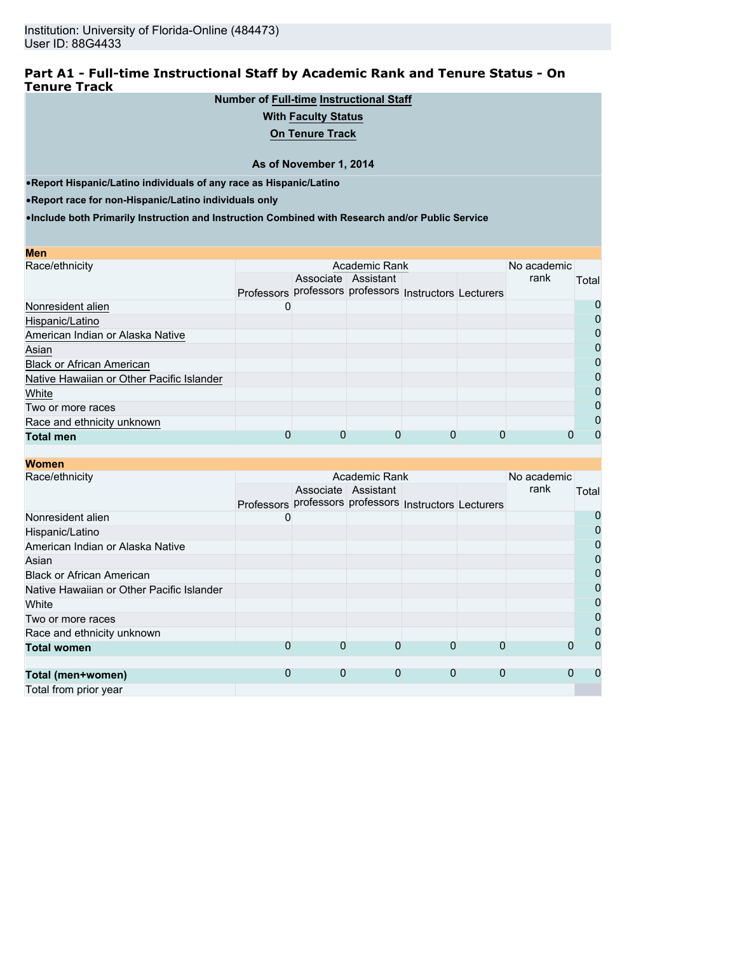## **Part A1 - Full-time Instructional Staff by Academic Rank and Tenure Status - On Tenure Track**

# **Number of Full-time Instructional Staff**

# **With Faculty Status**

**On Tenure Track**

### **As of November 1, 2014**

•**Report Hispanic/Latino individuals of any race as Hispanic/Latino**

•**Report race for non-Hispanic/Latino individuals only**

| Men                                       |                                                        |                     |          |             |              |
|-------------------------------------------|--------------------------------------------------------|---------------------|----------|-------------|--------------|
| Race/ethnicity                            |                                                        | Academic Rank       |          | No academic |              |
|                                           |                                                        | Associate Assistant |          | rank        | Total        |
|                                           | Professors professors professors Instructors Lecturers |                     |          |             |              |
| Nonresident alien                         | U                                                      |                     |          |             | 0            |
| Hispanic/Latino                           |                                                        |                     |          |             |              |
| American Indian or Alaska Native          |                                                        |                     |          |             | 0            |
| Asian                                     |                                                        |                     |          |             | 0            |
| <b>Black or African American</b>          |                                                        |                     |          |             | 0            |
| Native Hawaiian or Other Pacific Islander |                                                        |                     |          |             |              |
| White                                     |                                                        |                     |          |             | 0            |
| Two or more races                         |                                                        |                     |          |             | O            |
| Race and ethnicity unknown                |                                                        |                     |          |             | $\mathbf{I}$ |
| <b>Total men</b>                          |                                                        |                     | $\Omega$ |             |              |

| <b>Women</b>                              |    |   |                                                        |   |              |             |              |
|-------------------------------------------|----|---|--------------------------------------------------------|---|--------------|-------------|--------------|
| Race/ethnicity                            |    |   | Academic Rank                                          |   |              | No academic |              |
|                                           |    |   | Associate Assistant                                    |   |              | rank        | Total        |
|                                           |    |   | Professors professors professors Instructors Lecturers |   |              |             |              |
| Nonresident alien                         | O) |   |                                                        |   |              |             | 0            |
| Hispanic/Latino                           |    |   |                                                        |   |              |             | $\mathbf{I}$ |
| American Indian or Alaska Native          |    |   |                                                        |   |              |             |              |
| Asian                                     |    |   |                                                        |   |              |             | 0            |
| <b>Black or African American</b>          |    |   |                                                        |   |              |             | 0            |
| Native Hawaiian or Other Pacific Islander |    |   |                                                        |   |              |             | 0            |
| White                                     |    |   |                                                        |   |              |             | 0            |
| Two or more races                         |    |   |                                                        |   |              |             | 0            |
| Race and ethnicity unknown                |    |   |                                                        |   |              |             | 0            |
| <b>Total women</b>                        | 0  | 0 | O                                                      | 0 |              |             | $\mathbf{O}$ |
|                                           |    |   |                                                        |   |              |             |              |
| Total (men+women)                         | 0  | 0 | $\mathbf 0$                                            | 0 | $\mathbf{0}$ | 0           |              |
| Total from prior year                     |    |   |                                                        |   |              |             |              |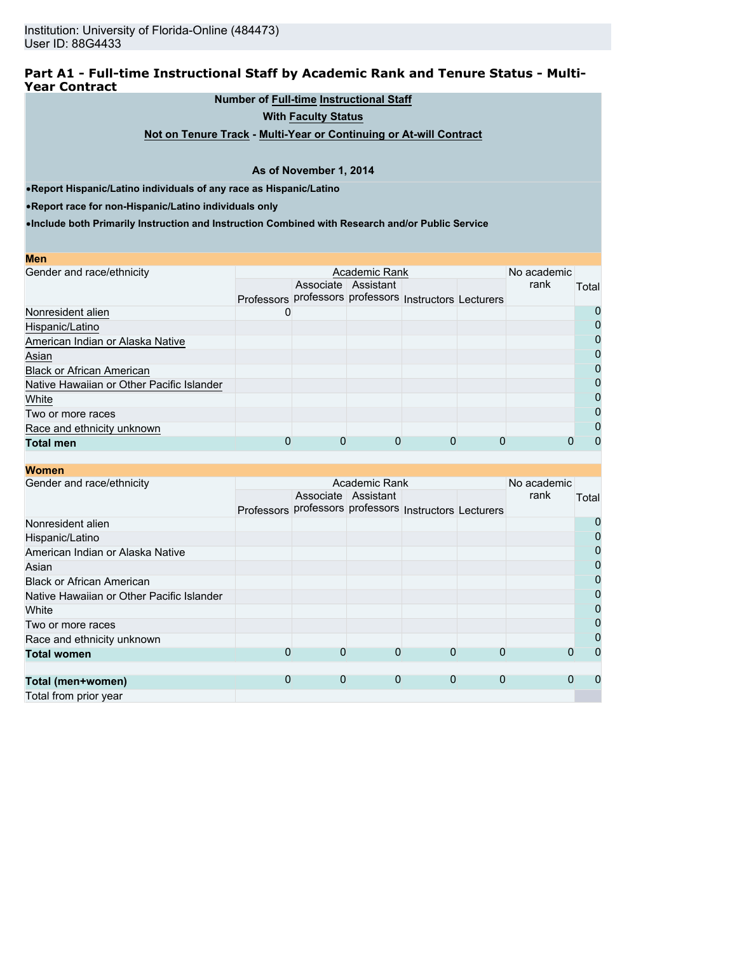# **Part A1 - Full-time Instructional Staff by Academic Rank and Tenure Status - Multi-Year Contract**

## **Number of Full-time Instructional Staff**

**With Faculty Status**

**Not on Tenure Track - Multi-Year or Continuing or At-will Contract**

### **As of November 1, 2014**

•**Report Hispanic/Latino individuals of any race as Hispanic/Latino**

•**Report race for non-Hispanic/Latino individuals only**

| <b>Men</b>                                |                                                        |                     |  |             |       |
|-------------------------------------------|--------------------------------------------------------|---------------------|--|-------------|-------|
| Gender and race/ethnicity                 |                                                        | Academic Rank       |  | No academic |       |
|                                           |                                                        | Associate Assistant |  | rank        | Total |
|                                           | Professors professors professors Instructors Lecturers |                     |  |             |       |
| Nonresident alien                         | U                                                      |                     |  |             | O     |
| Hispanic/Latino                           |                                                        |                     |  |             | 0     |
| American Indian or Alaska Native          |                                                        |                     |  |             | 0     |
| Asian                                     |                                                        |                     |  |             | 0     |
| <b>Black or African American</b>          |                                                        |                     |  |             | 0     |
| Native Hawaiian or Other Pacific Islander |                                                        |                     |  |             | 0     |
| White                                     |                                                        |                     |  |             | 0     |
| Two or more races                         |                                                        |                     |  |             | 0     |
| Race and ethnicity unknown                |                                                        |                     |  |             | 0     |
| <b>Total men</b>                          |                                                        |                     |  |             | 0     |

| <b>Women</b>                              |   |   |                                                        |   |             |             |              |
|-------------------------------------------|---|---|--------------------------------------------------------|---|-------------|-------------|--------------|
| Gender and race/ethnicity                 |   |   | Academic Rank                                          |   |             | No academic |              |
|                                           |   |   | Associate Assistant                                    |   |             | rank        | Total        |
|                                           |   |   | Professors professors professors Instructors Lecturers |   |             |             |              |
| Nonresident alien                         |   |   |                                                        |   |             |             | 0            |
| Hispanic/Latino                           |   |   |                                                        |   |             |             | 0            |
| American Indian or Alaska Native          |   |   |                                                        |   |             |             | 0            |
| Asian                                     |   |   |                                                        |   |             |             | 0            |
| <b>Black or African American</b>          |   |   |                                                        |   |             |             | 0            |
| Native Hawaiian or Other Pacific Islander |   |   |                                                        |   |             |             | 0            |
| White                                     |   |   |                                                        |   |             |             | 0            |
| Two or more races                         |   |   |                                                        |   |             |             | 0            |
| Race and ethnicity unknown                |   |   |                                                        |   |             |             | 0            |
| <b>Total women</b>                        | 0 | 0 | 0                                                      | 0 |             |             | $\mathbf{I}$ |
|                                           |   |   |                                                        |   |             |             |              |
| Total (men+women)                         | 0 | 0 | $\mathbf 0$                                            | 0 | $\mathbf 0$ | O           |              |
| Total from prior year                     |   |   |                                                        |   |             |             |              |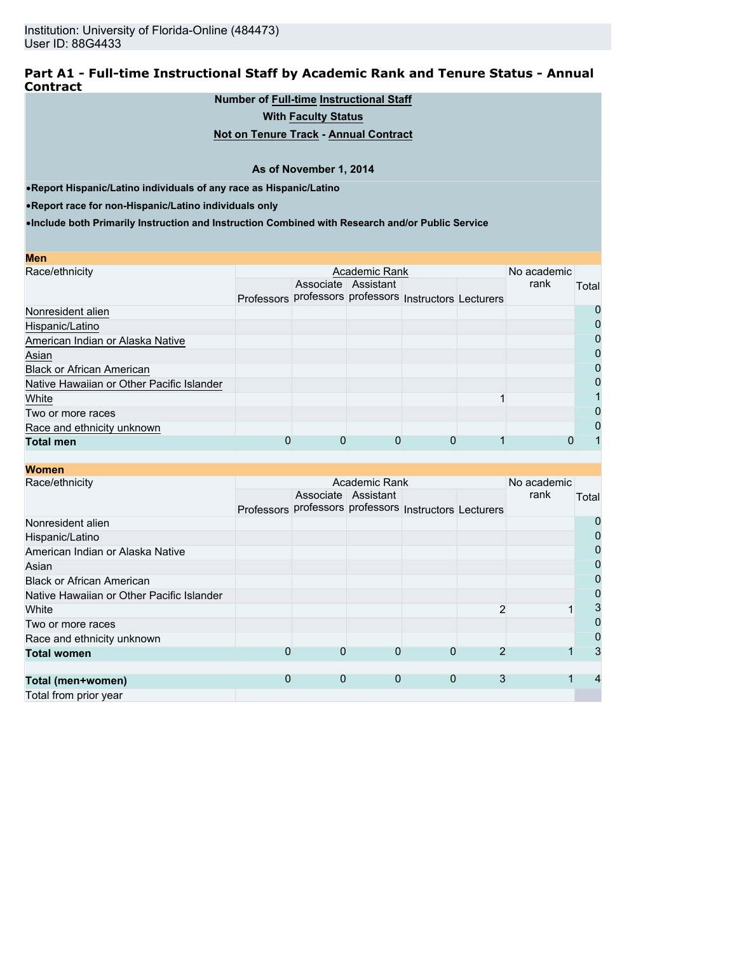### **Part A1 - Full-time Instructional Staff by Academic Rank and Tenure Status - Annual Contract**

## **Number of Full-time Instructional Staff**

**With Faculty Status**

# **Not on Tenure Track - Annual Contract**

#### **As of November 1, 2014**

•**Report Hispanic/Latino individuals of any race as Hispanic/Latino**

•**Report race for non-Hispanic/Latino individuals only**

| Men                                       |                                                        |                     |  |             |       |
|-------------------------------------------|--------------------------------------------------------|---------------------|--|-------------|-------|
| Race/ethnicity                            |                                                        | Academic Rank       |  | No academic |       |
|                                           |                                                        | Associate Assistant |  | rank        | Total |
|                                           | Professors professors professors Instructors Lecturers |                     |  |             |       |
| Nonresident alien                         |                                                        |                     |  |             | O     |
| Hispanic/Latino                           |                                                        |                     |  |             |       |
| American Indian or Alaska Native          |                                                        |                     |  |             | 0     |
| Asian                                     |                                                        |                     |  |             | 0     |
| <b>Black or African American</b>          |                                                        |                     |  |             | 0     |
| Native Hawaiian or Other Pacific Islander |                                                        |                     |  |             | 0     |
| White                                     |                                                        |                     |  |             |       |
| Two or more races                         |                                                        |                     |  |             | 0     |
| Race and ethnicity unknown                |                                                        |                     |  |             | 0     |
| <b>Total men</b>                          |                                                        |                     |  |             |       |

| <b>Women</b>                              |                                                        |   |                     |   |   |             |       |
|-------------------------------------------|--------------------------------------------------------|---|---------------------|---|---|-------------|-------|
| Race/ethnicity                            |                                                        |   | Academic Rank       |   |   | No academic |       |
|                                           |                                                        |   | Associate Assistant |   |   | rank        | Total |
|                                           | Professors professors professors Instructors Lecturers |   |                     |   |   |             |       |
| Nonresident alien                         |                                                        |   |                     |   |   |             | 0     |
| Hispanic/Latino                           |                                                        |   |                     |   |   |             | 0     |
| American Indian or Alaska Native          |                                                        |   |                     |   |   |             | 0     |
| Asian                                     |                                                        |   |                     |   |   |             | 0     |
| <b>Black or African American</b>          |                                                        |   |                     |   |   |             | 0     |
| Native Hawaiian or Other Pacific Islander |                                                        |   |                     |   |   |             | 0     |
| White                                     |                                                        |   |                     |   |   |             | 3     |
| Two or more races                         |                                                        |   |                     |   |   |             | 0     |
| Race and ethnicity unknown                |                                                        |   |                     |   |   |             | 0     |
| <b>Total women</b>                        | 0                                                      | 0 | 0                   | 0 |   |             | 3     |
|                                           |                                                        |   |                     |   |   |             |       |
| Total (men+women)                         | 0                                                      | 0 | $\mathbf 0$         | 0 | 3 |             |       |
| Total from prior year                     |                                                        |   |                     |   |   |             |       |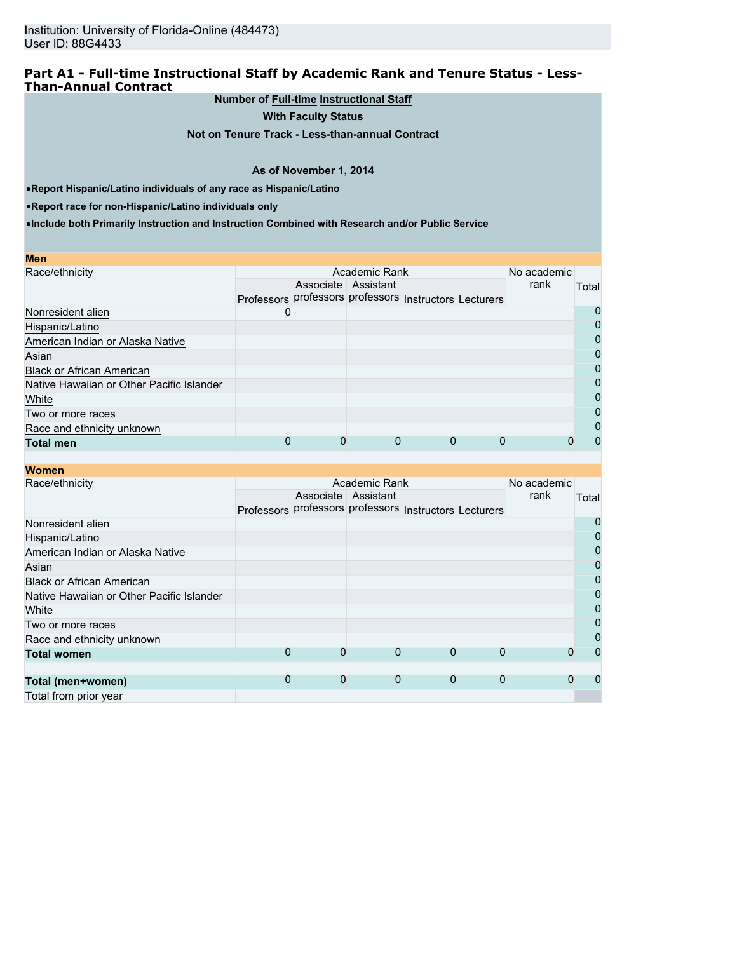## **Part A1 - Full-time Instructional Staff by Academic Rank and Tenure Status - Less-Than-Annual Contract**

**Number of Full-time Instructional Staff**

**With Faculty Status**

**Not on Tenure Track - Less-than-annual Contract**

#### **As of November 1, 2014**

•**Report Hispanic/Latino individuals of any race as Hispanic/Latino**

•**Report race for non-Hispanic/Latino individuals only**

| <b>Men</b>                                |                                                        |                     |               |  |             |       |
|-------------------------------------------|--------------------------------------------------------|---------------------|---------------|--|-------------|-------|
| Race/ethnicity                            |                                                        |                     | Academic Rank |  | No academic |       |
|                                           |                                                        | Associate Assistant |               |  | rank        | Total |
|                                           | Professors professors professors Instructors Lecturers |                     |               |  |             |       |
| Nonresident alien                         | U                                                      |                     |               |  |             | 0     |
| Hispanic/Latino                           |                                                        |                     |               |  |             | 0     |
| American Indian or Alaska Native          |                                                        |                     |               |  |             | 0     |
| Asian                                     |                                                        |                     |               |  |             | 0     |
| <b>Black or African American</b>          |                                                        |                     |               |  |             | 0     |
| Native Hawaiian or Other Pacific Islander |                                                        |                     |               |  |             | 0     |
| White                                     |                                                        |                     |               |  |             | 0     |
| Two or more races                         |                                                        |                     |               |  |             | 0     |
| Race and ethnicity unknown                |                                                        |                     |               |  |             | 0     |
| <b>Total men</b>                          |                                                        |                     |               |  |             | 0     |

| <b>Women</b>                              |   |   |                                                        |   |             |             |       |
|-------------------------------------------|---|---|--------------------------------------------------------|---|-------------|-------------|-------|
| Race/ethnicity                            |   |   | Academic Rank                                          |   |             | No academic |       |
|                                           |   |   | Associate Assistant                                    |   |             | rank        | Total |
|                                           |   |   | Professors professors professors Instructors Lecturers |   |             |             |       |
| Nonresident alien                         |   |   |                                                        |   |             |             |       |
| Hispanic/Latino                           |   |   |                                                        |   |             |             | 0     |
| American Indian or Alaska Native          |   |   |                                                        |   |             |             | 0     |
| Asian                                     |   |   |                                                        |   |             |             | 0     |
| <b>Black or African American</b>          |   |   |                                                        |   |             |             | 0     |
| Native Hawaiian or Other Pacific Islander |   |   |                                                        |   |             |             | 0     |
| White                                     |   |   |                                                        |   |             |             | 0     |
| Two or more races                         |   |   |                                                        |   |             |             | 0     |
| Race and ethnicity unknown                |   |   |                                                        |   |             |             | 0     |
| <b>Total women</b>                        | 0 | 0 | 0                                                      | 0 | 0           | 0           | 0     |
|                                           |   |   |                                                        |   |             |             |       |
| Total (men+women)                         | 0 | 0 | 0                                                      | 0 | $\mathbf 0$ | 0           | 0     |
| Total from prior year                     |   |   |                                                        |   |             |             |       |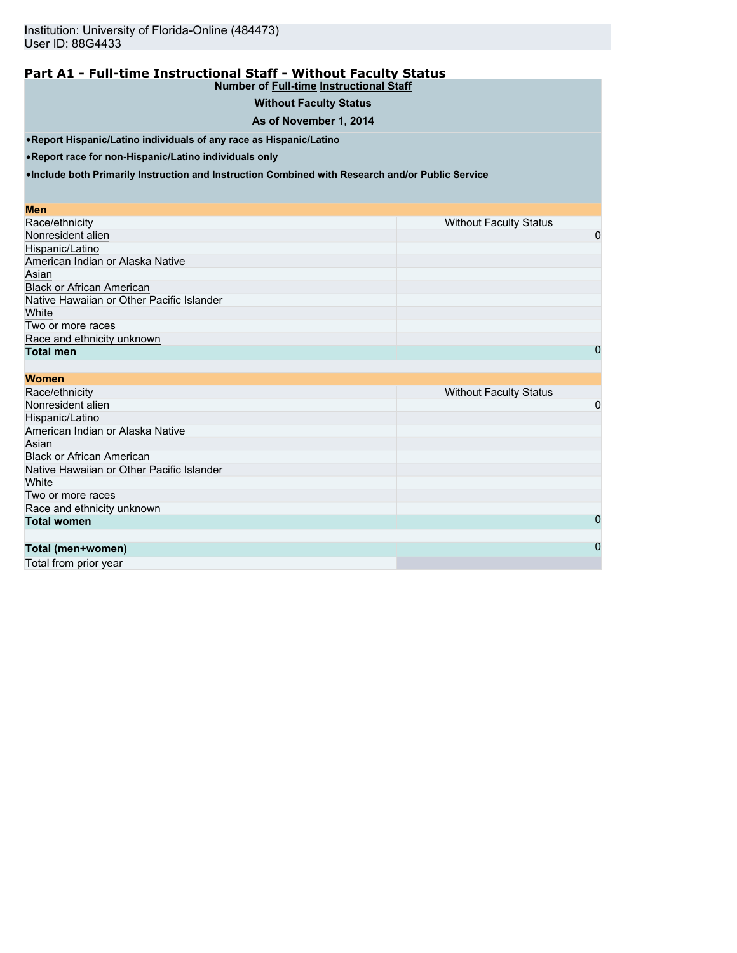#### **Part A1 - Full-time Instructional Staff - Without Faculty Status Number of Full-time Instructional Staff**

# **Without Faculty Status**

## **As of November 1, 2014**

•**Report Hispanic/Latino individuals of any race as Hispanic/Latino**

•**Report race for non-Hispanic/Latino individuals only**

•**Include both Primarily Instruction and Instruction Combined with Research and/or Public Service**

#### **Men**

| Race/ethnicity                            | <b>Without Faculty Status</b> |
|-------------------------------------------|-------------------------------|
| Nonresident alien                         | 0                             |
| Hispanic/Latino                           |                               |
| American Indian or Alaska Native          |                               |
| Asian                                     |                               |
| <b>Black or African American</b>          |                               |
| Native Hawaiian or Other Pacific Islander |                               |
| White                                     |                               |
| Two or more races                         |                               |
| Race and ethnicity unknown                |                               |
| <b>Total men</b>                          | 0                             |

| <b>Without Faculty Status</b> |
|-------------------------------|
| 0                             |
|                               |
|                               |
|                               |
|                               |
|                               |
|                               |
|                               |
|                               |
| $\Omega$                      |
|                               |
| $\Omega$                      |
|                               |

Total from prior year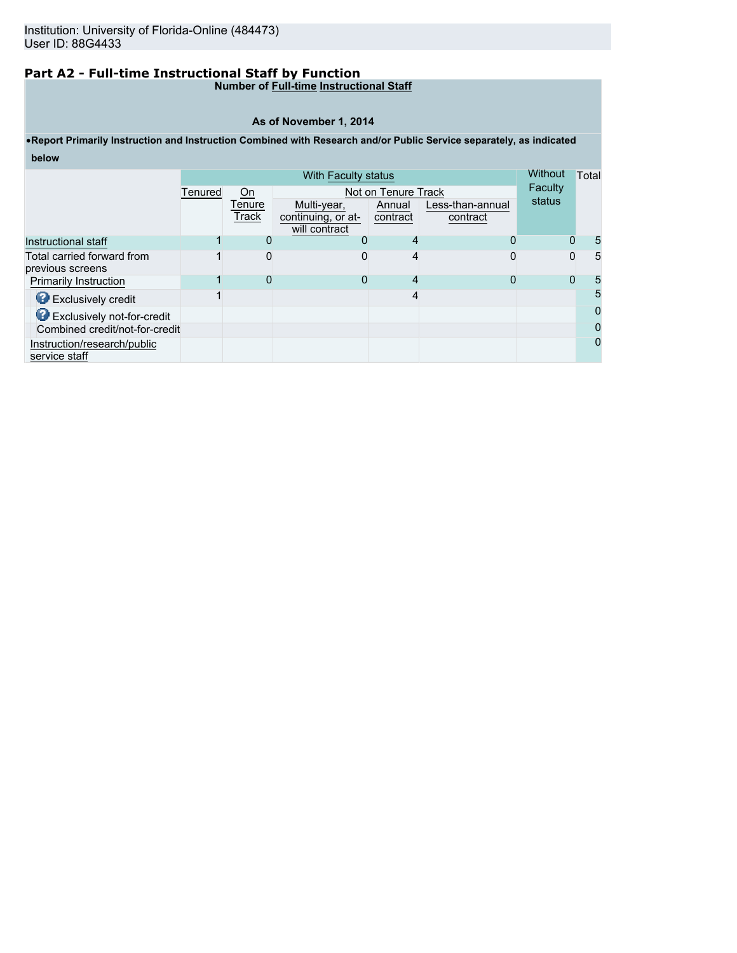# **Part A2 - Full-time Instructional Staff by Function**

## **Number of Full-time Instructional Staff**

#### **As of November 1, 2014**

# •**Report Primarily Instruction and Instruction Combined with Research and/or Public Service separately, as indicated below**

|                                              |         | Without         | Total                                              |                    |                              |          |          |
|----------------------------------------------|---------|-----------------|----------------------------------------------------|--------------------|------------------------------|----------|----------|
|                                              | Tenured | On              | Not on Tenure Track                                | Faculty            |                              |          |          |
|                                              |         | Tenure<br>Track | Multi-year,<br>continuing, or at-<br>will contract | Annual<br>contract | Less-than-annual<br>contract | status   |          |
| Instructional staff                          |         | $\Omega$        | O                                                  | 4                  | 0                            | $\Omega$ | 5        |
| Total carried forward from                   |         | 0               | O                                                  | 4                  | O                            | $\Omega$ | 5        |
| previous screens                             |         |                 |                                                    |                    |                              |          |          |
| <b>Primarily Instruction</b>                 |         | 0               | 0                                                  | 4                  |                              | 0        | 5        |
| <b>B</b> Exclusively credit                  |         |                 |                                                    | 4                  |                              |          | 5        |
| <b>O</b> Exclusively not-for-credit          |         |                 |                                                    |                    |                              |          | 0        |
| Combined credit/not-for-credit               |         |                 |                                                    |                    |                              |          | $\Omega$ |
| Instruction/research/public<br>service staff |         |                 |                                                    |                    |                              |          | 0        |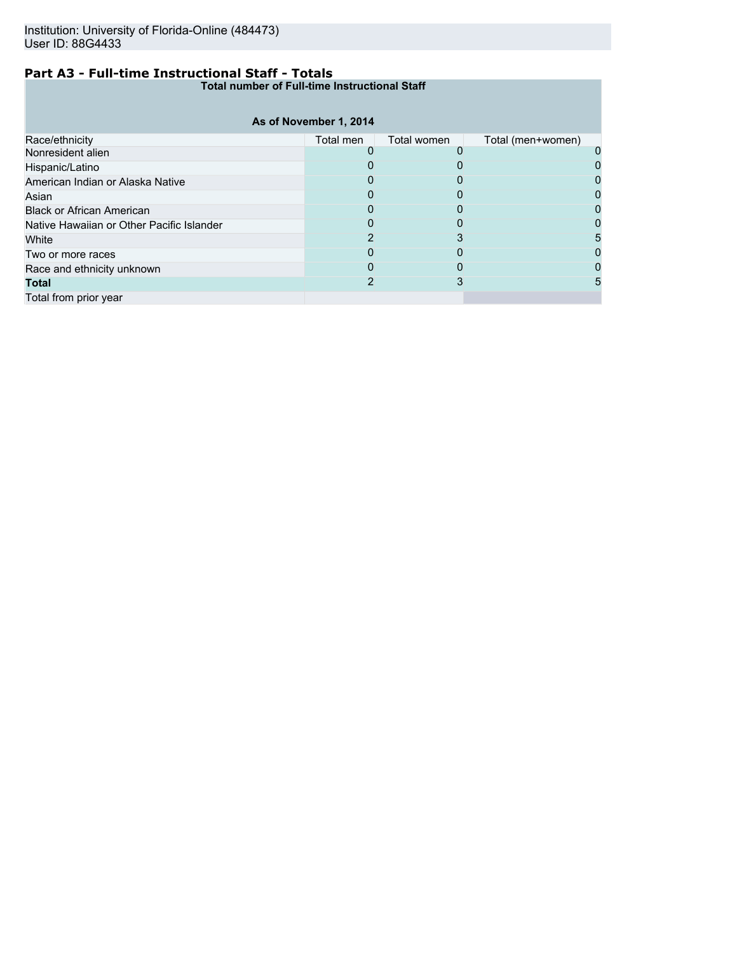# **Part A3 - Full-time Instructional Staff - Totals**

**Total number of Full-time Instructional Staff**

|                                           | As of November 1, 2014 |             |                   |  |
|-------------------------------------------|------------------------|-------------|-------------------|--|
| Race/ethnicity                            | Total men              | Total women | Total (men+women) |  |
| Nonresident alien                         |                        |             |                   |  |
| Hispanic/Latino                           |                        |             |                   |  |
| American Indian or Alaska Native          |                        |             |                   |  |
| Asian                                     |                        |             |                   |  |
| <b>Black or African American</b>          |                        |             |                   |  |
| Native Hawaiian or Other Pacific Islander |                        |             |                   |  |
| White                                     |                        |             |                   |  |
| Two or more races                         |                        |             |                   |  |
| Race and ethnicity unknown                |                        | O           |                   |  |
| <b>Total</b>                              |                        |             |                   |  |
| Total from prior year                     |                        |             |                   |  |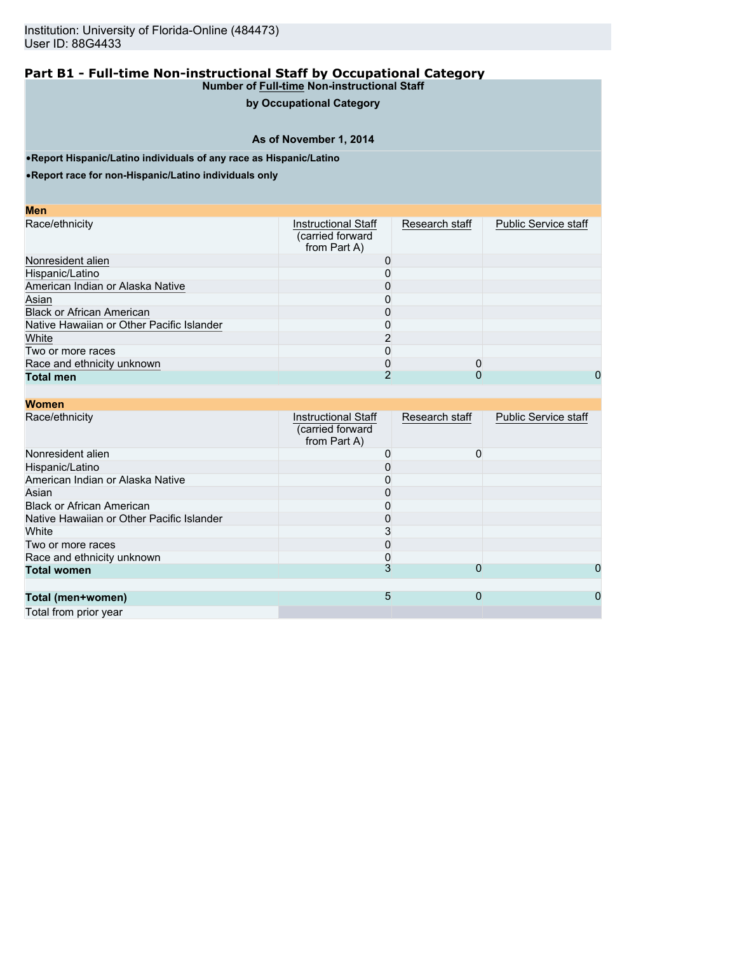# **by Occupational Category**

# **As of November 1, 2014**

•**Report Hispanic/Latino individuals of any race as Hispanic/Latino**

•**Report race for non-Hispanic/Latino individuals only**

| M<br>ο | I |
|--------|---|
|        |   |

| Race/ethnicity                            | <b>Instructional Staff</b><br>(carried forward<br>from Part A) | Research staff | <b>Public Service staff</b> |
|-------------------------------------------|----------------------------------------------------------------|----------------|-----------------------------|
| Nonresident alien                         |                                                                |                |                             |
| Hispanic/Latino                           |                                                                |                |                             |
| American Indian or Alaska Native          |                                                                |                |                             |
| Asian                                     |                                                                |                |                             |
| <b>Black or African American</b>          |                                                                |                |                             |
| Native Hawaiian or Other Pacific Islander |                                                                |                |                             |
| White                                     |                                                                |                |                             |
| Two or more races                         |                                                                |                |                             |
| Race and ethnicity unknown                |                                                                |                |                             |
| <b>Total men</b>                          |                                                                |                | 0                           |

| <b>Women</b>                              |                                                                |                |                             |
|-------------------------------------------|----------------------------------------------------------------|----------------|-----------------------------|
| Race/ethnicity                            | <b>Instructional Staff</b><br>(carried forward<br>from Part A) | Research staff | <b>Public Service staff</b> |
| Nonresident alien                         | 0                                                              | 0              |                             |
| Hispanic/Latino                           |                                                                |                |                             |
| American Indian or Alaska Native          |                                                                |                |                             |
| Asian                                     |                                                                |                |                             |
| <b>Black or African American</b>          |                                                                |                |                             |
| Native Hawaiian or Other Pacific Islander |                                                                |                |                             |
| White                                     |                                                                |                |                             |
| Two or more races                         |                                                                |                |                             |
| Race and ethnicity unknown                |                                                                |                |                             |
| <b>Total women</b>                        | 3                                                              | 0              | 0                           |
| Total (men+women)                         | 5                                                              | $\Omega$       | 0                           |
| Total from prior year                     |                                                                |                |                             |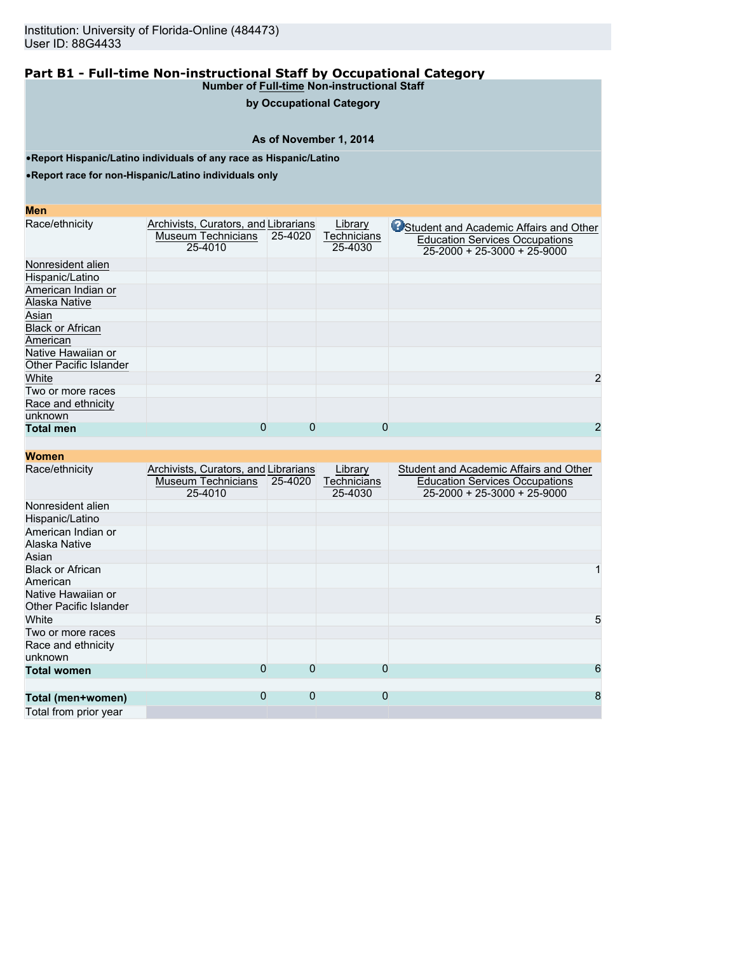# **by Occupational Category**

# **As of November 1, 2014**

•**Report Hispanic/Latino individuals of any race as Hispanic/Latino**

•**Report race for non-Hispanic/Latino individuals only**

#### **Men**

| Race/ethnicity                                      | Archivists, Curators, and Librarians<br>Museum Technicians<br>25-4010 | 25-4020  | Library<br>Technicians<br>25-4030 | Student and Academic Affairs and Other<br><b>Education Services Occupations</b><br>$25-2000 + 25-3000 + 25-9000$ |
|-----------------------------------------------------|-----------------------------------------------------------------------|----------|-----------------------------------|------------------------------------------------------------------------------------------------------------------|
| Nonresident alien                                   |                                                                       |          |                                   |                                                                                                                  |
| Hispanic/Latino                                     |                                                                       |          |                                   |                                                                                                                  |
| American Indian or<br>Alaska Native                 |                                                                       |          |                                   |                                                                                                                  |
| Asian                                               |                                                                       |          |                                   |                                                                                                                  |
| <b>Black or African</b><br>American                 |                                                                       |          |                                   |                                                                                                                  |
| Native Hawaiian or<br><b>Other Pacific Islander</b> |                                                                       |          |                                   |                                                                                                                  |
| White                                               |                                                                       |          |                                   | 2                                                                                                                |
| Two or more races                                   |                                                                       |          |                                   |                                                                                                                  |
| Race and ethnicity<br>unknown                       |                                                                       |          |                                   |                                                                                                                  |
| <b>Total men</b>                                    | 0                                                                     | $\Omega$ | 0                                 | 2                                                                                                                |

| <b>Women</b>                                        |                                                                       |          |                                   |                                                                                                                        |
|-----------------------------------------------------|-----------------------------------------------------------------------|----------|-----------------------------------|------------------------------------------------------------------------------------------------------------------------|
| Race/ethnicity                                      | Archivists, Curators, and Librarians<br>Museum Technicians<br>25-4010 | 25-4020  | Library<br>Technicians<br>25-4030 | Student and Academic Affairs and Other<br><b>Education Services Occupations</b><br>$25 - 2000 + 25 - 3000 + 25 - 9000$ |
| Nonresident alien                                   |                                                                       |          |                                   |                                                                                                                        |
| Hispanic/Latino                                     |                                                                       |          |                                   |                                                                                                                        |
| American Indian or<br>Alaska Native                 |                                                                       |          |                                   |                                                                                                                        |
| Asian                                               |                                                                       |          |                                   |                                                                                                                        |
| <b>Black or African</b><br>American                 |                                                                       |          |                                   |                                                                                                                        |
| Native Hawaiian or<br><b>Other Pacific Islander</b> |                                                                       |          |                                   |                                                                                                                        |
| White                                               |                                                                       |          |                                   | 5                                                                                                                      |
| Two or more races                                   |                                                                       |          |                                   |                                                                                                                        |
| Race and ethnicity<br>unknown                       |                                                                       |          |                                   |                                                                                                                        |
| <b>Total women</b>                                  | 0                                                                     | $\Omega$ | 0                                 | 6                                                                                                                      |
| Total (men+women)                                   | $\Omega$                                                              | $\Omega$ | $\mathbf{0}$                      | 8                                                                                                                      |
| Total from prior year                               |                                                                       |          |                                   |                                                                                                                        |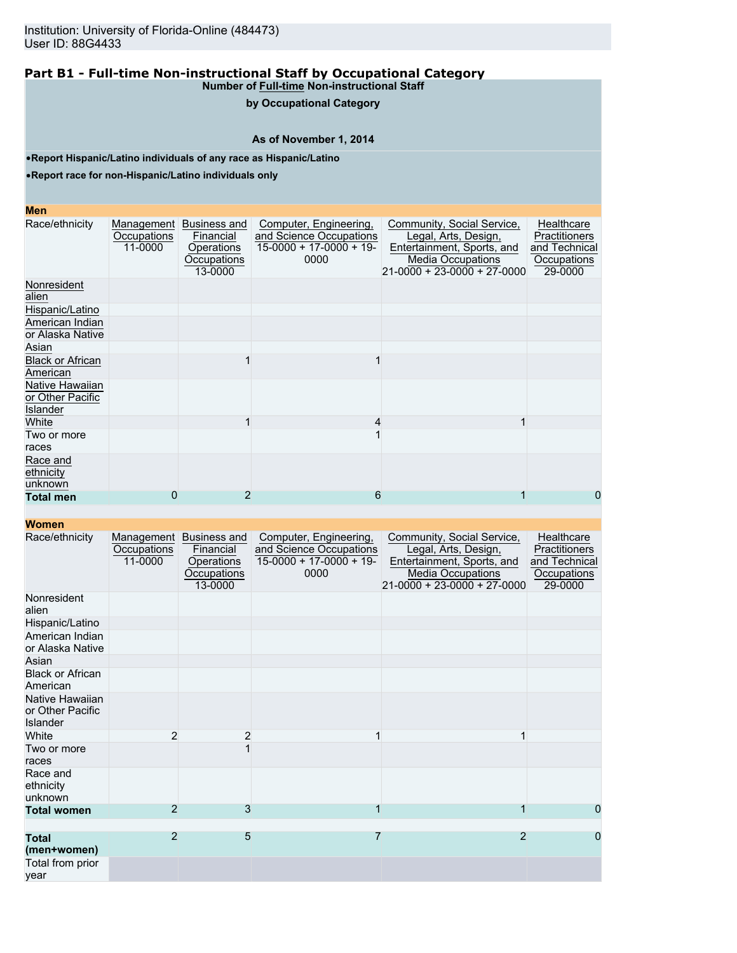# **by Occupational Category**

# **As of November 1, 2014**

•**Report Hispanic/Latino individuals of any race as Hispanic/Latino**

•**Report race for non-Hispanic/Latino individuals only**

#### **Men**

| Race/ethnicity                                  | Management<br>Occupations<br>11-0000 | Business and<br>Financial<br>Operations<br>Occupations<br>13-0000 | Computer, Engineering,<br>and Science Occupations<br>$15-0000 + 17-0000 + 19-$<br>0000 | Community, Social Service,<br>Legal, Arts, Design,<br>Entertainment, Sports, and<br><b>Media Occupations</b><br>$21 - 0000 + 23 - 0000 + 27 - 0000$ | Healthcare<br><b>Practitioners</b><br>and Technical<br>Occupations<br>29-0000 |
|-------------------------------------------------|--------------------------------------|-------------------------------------------------------------------|----------------------------------------------------------------------------------------|-----------------------------------------------------------------------------------------------------------------------------------------------------|-------------------------------------------------------------------------------|
| Nonresident<br>alien                            |                                      |                                                                   |                                                                                        |                                                                                                                                                     |                                                                               |
| Hispanic/Latino                                 |                                      |                                                                   |                                                                                        |                                                                                                                                                     |                                                                               |
| American Indian<br>or Alaska Native             |                                      |                                                                   |                                                                                        |                                                                                                                                                     |                                                                               |
| Asian                                           |                                      |                                                                   |                                                                                        |                                                                                                                                                     |                                                                               |
| <b>Black or African</b><br>American             |                                      |                                                                   |                                                                                        |                                                                                                                                                     |                                                                               |
| Native Hawaiian<br>or Other Pacific<br>Islander |                                      |                                                                   |                                                                                        |                                                                                                                                                     |                                                                               |
| White                                           |                                      |                                                                   | 4                                                                                      |                                                                                                                                                     |                                                                               |
| Two or more<br>races                            |                                      |                                                                   |                                                                                        |                                                                                                                                                     |                                                                               |
| Race and<br>ethnicity<br>unknown                |                                      |                                                                   |                                                                                        |                                                                                                                                                     |                                                                               |
| <b>Total men</b>                                | 0                                    | 2                                                                 | 6                                                                                      |                                                                                                                                                     | 0                                                                             |

| Race/ethnicity                                         | Occupations<br>11-0000 | Management Business and<br>Financial<br>Operations<br>Occupations<br>13-0000 | Computer, Engineering,<br>and Science Occupations<br>$15-0000 + 17-0000 + 19$<br>0000 | Community, Social Service,<br>Legal, Arts, Design,<br>Entertainment, Sports, and<br><b>Media Occupations</b><br>21-0000 + 23-0000 + 27-0000 | Healthcare<br>Practitioners<br>and Technical<br>Occupations<br>29-0000 |
|--------------------------------------------------------|------------------------|------------------------------------------------------------------------------|---------------------------------------------------------------------------------------|---------------------------------------------------------------------------------------------------------------------------------------------|------------------------------------------------------------------------|
| Nonresident<br>alien                                   |                        |                                                                              |                                                                                       |                                                                                                                                             |                                                                        |
| Hispanic/Latino                                        |                        |                                                                              |                                                                                       |                                                                                                                                             |                                                                        |
| American Indian<br>or Alaska Native                    |                        |                                                                              |                                                                                       |                                                                                                                                             |                                                                        |
| Asian                                                  |                        |                                                                              |                                                                                       |                                                                                                                                             |                                                                        |
| <b>Black or African</b><br>American                    |                        |                                                                              |                                                                                       |                                                                                                                                             |                                                                        |
| Native Hawaiian<br>or Other Pacific<br><b>Islander</b> |                        |                                                                              |                                                                                       |                                                                                                                                             |                                                                        |
| White                                                  | 2                      | 2                                                                            |                                                                                       |                                                                                                                                             |                                                                        |
| Two or more<br>races                                   |                        |                                                                              |                                                                                       |                                                                                                                                             |                                                                        |
| Race and<br>ethnicity<br>unknown                       |                        |                                                                              |                                                                                       |                                                                                                                                             |                                                                        |
| <b>Total women</b>                                     | $\overline{2}$         | 3                                                                            |                                                                                       |                                                                                                                                             | 0                                                                      |
|                                                        |                        |                                                                              |                                                                                       |                                                                                                                                             |                                                                        |
| <b>Total</b><br>(men+women)                            | $\overline{2}$         | 5                                                                            | $\overline{7}$                                                                        | $\overline{2}$                                                                                                                              | 0                                                                      |
| Total from prior<br>vear                               |                        |                                                                              |                                                                                       |                                                                                                                                             |                                                                        |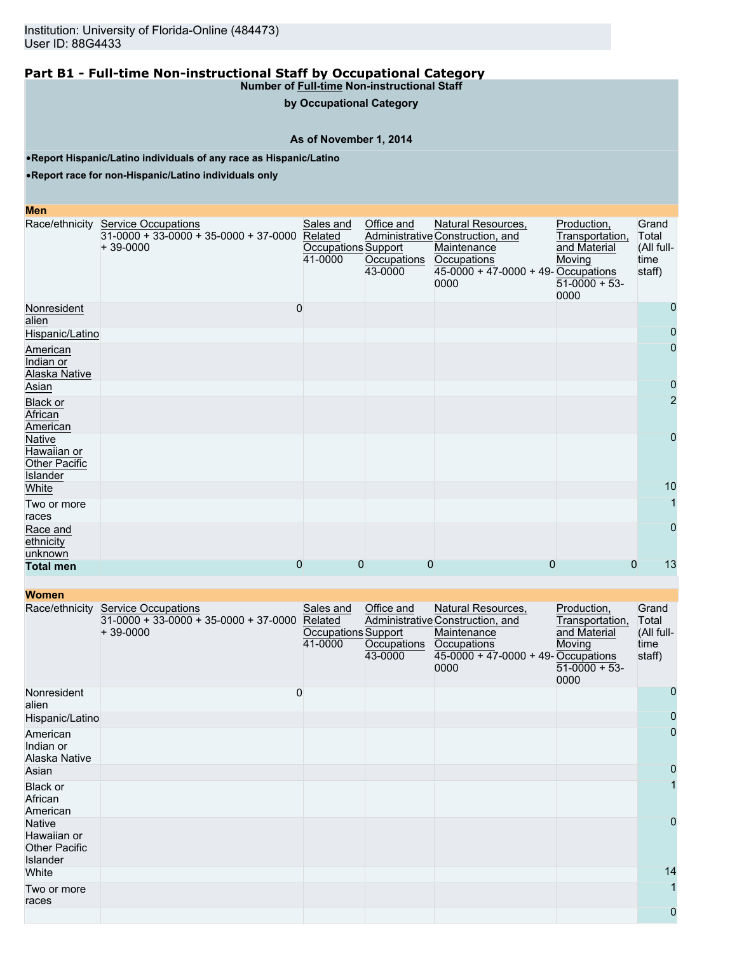**by Occupational Category**

## **As of November 1, 2014**

•**Report Hispanic/Latino individuals of any race as Hispanic/Latino**

•**Report race for non-Hispanic/Latino individuals only**

#### **Men**

|                                                           | Race/ethnicity Service Occupations<br>31-0000 + 33-0000 + 35-0000 + 37-0000 Related<br>$+39-0000$ | Sales and<br>Occupations Support<br>41-0000 | Office and<br>Occupations<br>43-0000 | Natural Resources,<br>Administrative Construction, and<br>Maintenance<br>Occupations<br>$45-0000 + 47-0000 + 49$ -Occupations<br>0000 | Production,<br>Transportation,<br>and Material<br>Moving<br>$51-0000 + 53$<br>0000 | Grand<br>Total<br>(All full-<br>time<br>staff) |
|-----------------------------------------------------------|---------------------------------------------------------------------------------------------------|---------------------------------------------|--------------------------------------|---------------------------------------------------------------------------------------------------------------------------------------|------------------------------------------------------------------------------------|------------------------------------------------|
| Nonresident<br>alien                                      | 0                                                                                                 |                                             |                                      |                                                                                                                                       |                                                                                    | $\mathbf{0}$                                   |
| Hispanic/Latino                                           |                                                                                                   |                                             |                                      |                                                                                                                                       |                                                                                    | $\mathbf 0$                                    |
| American<br>Indian or<br>Alaska Native                    |                                                                                                   |                                             |                                      |                                                                                                                                       |                                                                                    | $\overline{0}$                                 |
| Asian                                                     |                                                                                                   |                                             |                                      |                                                                                                                                       |                                                                                    | $\mathbf 0$                                    |
| <b>Black or</b><br>African<br>American                    |                                                                                                   |                                             |                                      |                                                                                                                                       |                                                                                    | $\overline{2}$                                 |
| Native<br>Hawaiian or<br><b>Other Pacific</b><br>Islander |                                                                                                   |                                             |                                      |                                                                                                                                       |                                                                                    | $\mathbf 0$                                    |
| White                                                     |                                                                                                   |                                             |                                      |                                                                                                                                       |                                                                                    | 10                                             |
| Two or more<br>races                                      |                                                                                                   |                                             |                                      |                                                                                                                                       |                                                                                    |                                                |
| Race and<br>ethnicity<br>unknown                          |                                                                                                   |                                             |                                      |                                                                                                                                       |                                                                                    | $\Omega$                                       |
| <b>Total men</b>                                          | 0                                                                                                 | $\mathbf 0$                                 | 0                                    | $\Omega$                                                                                                                              | $\mathbf{0}$                                                                       | 13                                             |

| <b>Women</b>                                                     |                                                                                     |                                                        |                                      |                                                                                                                                     |                                                                                    |                                                |
|------------------------------------------------------------------|-------------------------------------------------------------------------------------|--------------------------------------------------------|--------------------------------------|-------------------------------------------------------------------------------------------------------------------------------------|------------------------------------------------------------------------------------|------------------------------------------------|
| Race/ethnicity                                                   | <b>Service Occupations</b><br>$31-0000 + 33-0000 + 35-0000 + 37-0000$<br>$+39-0000$ | Sales and<br>Related<br>Occupations Support<br>41-0000 | Office and<br>Occupations<br>43-0000 | Natural Resources,<br>Administrative Construction, and<br>Maintenance<br>Occupations<br>45-0000 + 47-0000 + 49- Occupations<br>0000 | Production,<br>Transportation,<br>and Material<br>Moving<br>$51-0000 + 53$<br>0000 | Grand<br>Total<br>(All full-<br>time<br>staff) |
| Nonresident<br>alien                                             |                                                                                     | 0                                                      |                                      |                                                                                                                                     |                                                                                    | 0                                              |
| Hispanic/Latino                                                  |                                                                                     |                                                        |                                      |                                                                                                                                     |                                                                                    | 0                                              |
| American<br>Indian or<br>Alaska Native                           |                                                                                     |                                                        |                                      |                                                                                                                                     |                                                                                    | $\overline{0}$                                 |
| Asian                                                            |                                                                                     |                                                        |                                      |                                                                                                                                     |                                                                                    | 0                                              |
| Black or<br>African<br>American                                  |                                                                                     |                                                        |                                      |                                                                                                                                     |                                                                                    |                                                |
| <b>Native</b><br>Hawaiian or<br><b>Other Pacific</b><br>Islander |                                                                                     |                                                        |                                      |                                                                                                                                     |                                                                                    | $\mathbf 0$                                    |
| White                                                            |                                                                                     |                                                        |                                      |                                                                                                                                     |                                                                                    | 14                                             |
| Two or more<br>races                                             |                                                                                     |                                                        |                                      |                                                                                                                                     |                                                                                    | 1                                              |
|                                                                  |                                                                                     |                                                        |                                      |                                                                                                                                     |                                                                                    | $\mathbf 0$                                    |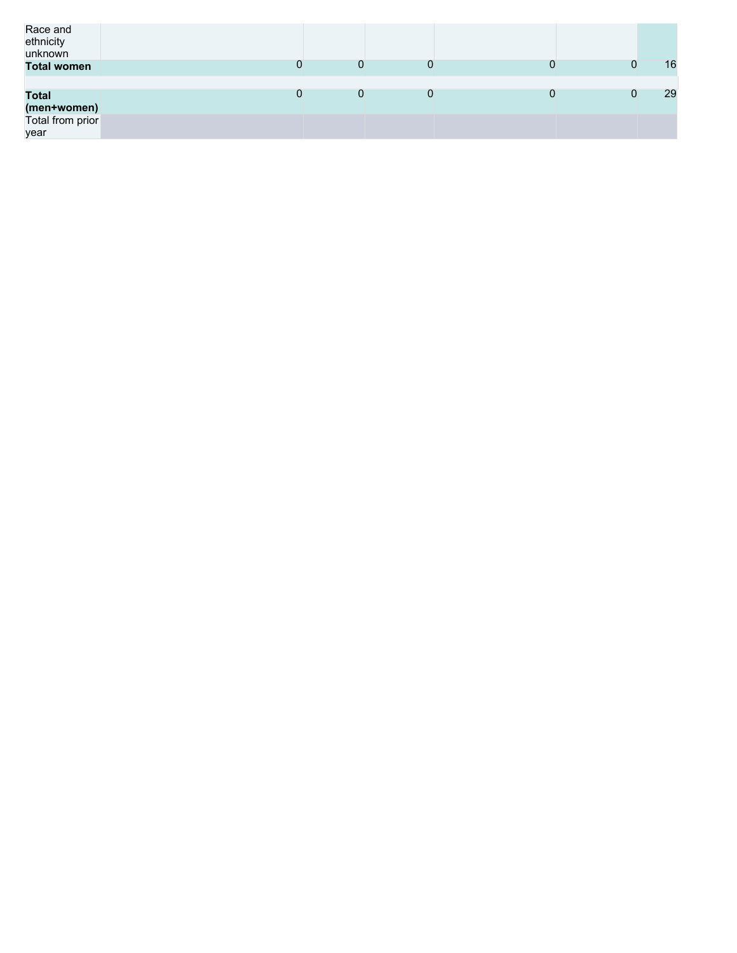| Race and<br>ethnicity<br>unknown                        |   |   |  |    |
|---------------------------------------------------------|---|---|--|----|
| <b>Total women</b>                                      | 0 | 0 |  | 16 |
| <b>Total</b><br>(men+women)<br>Total from prior<br>year | 0 | 0 |  | 29 |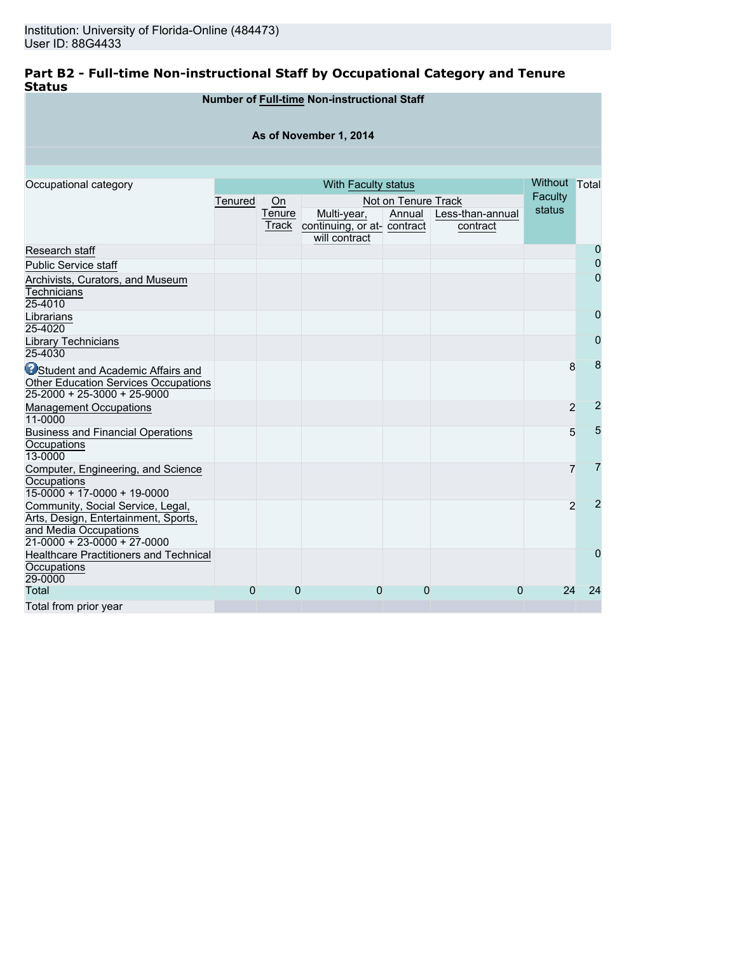# **Part B2 - Full-time Non-instructional Staff by Occupational Category and Tenure Status**

|                                                                                                                                     |         |                 | <b>Number of Full-time Non-instructional Staff</b>          |                     |                              |               |                |  |
|-------------------------------------------------------------------------------------------------------------------------------------|---------|-----------------|-------------------------------------------------------------|---------------------|------------------------------|---------------|----------------|--|
| As of November 1, 2014                                                                                                              |         |                 |                                                             |                     |                              |               |                |  |
|                                                                                                                                     |         |                 |                                                             |                     |                              |               |                |  |
| Occupational category                                                                                                               |         |                 | With Faculty status                                         |                     |                              | Without Total |                |  |
|                                                                                                                                     | Tenured | On              |                                                             | Not on Tenure Track |                              | Faculty       |                |  |
|                                                                                                                                     |         | Tenure<br>Track | Multi-year,<br>continuing, or at- contract<br>will contract | Annual              | Less-than-annual<br>contract | status        |                |  |
| Research staff                                                                                                                      |         |                 |                                                             |                     |                              |               | $\mathbf 0$    |  |
| <b>Public Service staff</b>                                                                                                         |         |                 |                                                             |                     |                              |               | $\mathbf 0$    |  |
| Archivists, Curators, and Museum<br>Technicians<br>25-4010                                                                          |         |                 |                                                             |                     |                              |               | $\mathbf 0$    |  |
| Librarians<br>25-4020                                                                                                               |         |                 |                                                             |                     |                              |               | $\overline{0}$ |  |
| Library Technicians<br>25-4030                                                                                                      |         |                 |                                                             |                     |                              |               | $\mathbf 0$    |  |
| <b>O</b> Student and Academic Affairs and<br><b>Other Education Services Occupations</b><br>25-2000 + 25-3000 + 25-9000             |         |                 |                                                             |                     |                              | 8             | 8              |  |
| <b>Management Occupations</b><br>11-0000                                                                                            |         |                 |                                                             |                     |                              | 2             | $\overline{2}$ |  |
| <b>Business and Financial Operations</b><br>Occupations<br>13-0000                                                                  |         |                 |                                                             |                     |                              | 5             | 5              |  |
| Computer, Engineering, and Science<br><b>Occupations</b><br>$15-0000 + 17-0000 + 19-0000$                                           |         |                 |                                                             |                     |                              | 7             | $\overline{7}$ |  |
| Community, Social Service, Legal,<br>Arts, Design, Entertainment, Sports,<br>and Media Occupations<br>$21-0000 + 23-0000 + 27-0000$ |         |                 |                                                             |                     |                              | 2             | $\overline{2}$ |  |
| <b>Healthcare Practitioners and Technical</b><br><b>Occupations</b><br>29-0000                                                      |         |                 |                                                             |                     |                              |               | $\Omega$       |  |
| Total                                                                                                                               | 0       | 0               | 0                                                           | 0                   | 0                            | 24            | 24             |  |
| Total from prior year                                                                                                               |         |                 |                                                             |                     |                              |               |                |  |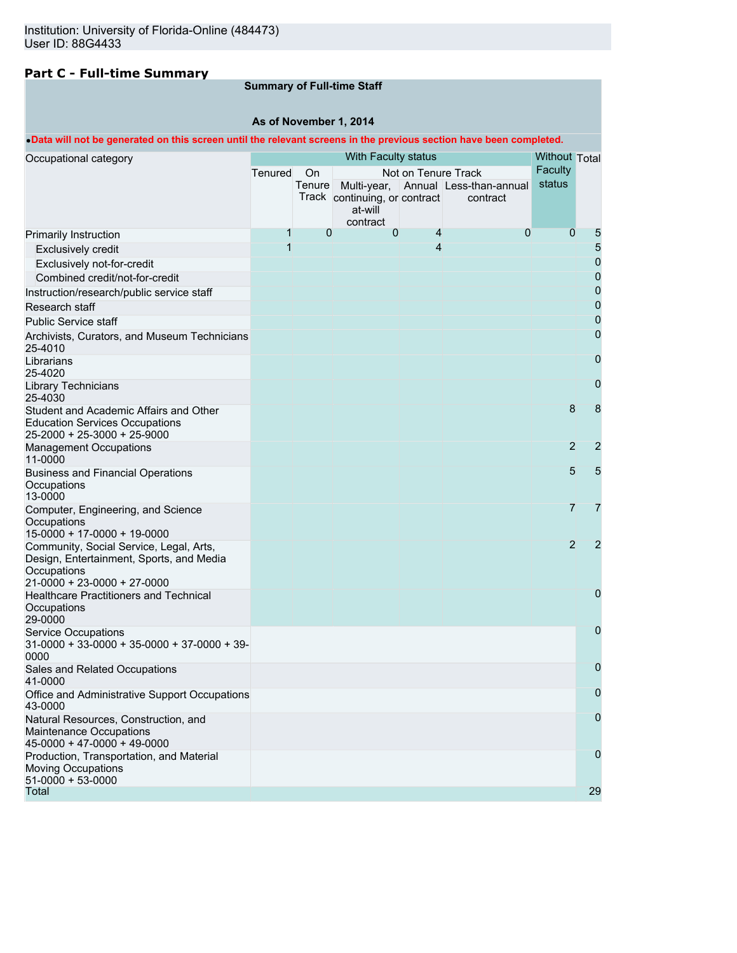# **Part C - Full-time Summary**

# **Summary of Full-time Staff**

# **As of November 1, 2014**

# •**Data will not be generated on this screen until the relevant screens in the previous section have been completed.**

| Occupational category                                                                                                             |         | <b>Without Total</b> |                                                      |                     |                                                        |                |                |
|-----------------------------------------------------------------------------------------------------------------------------------|---------|----------------------|------------------------------------------------------|---------------------|--------------------------------------------------------|----------------|----------------|
|                                                                                                                                   | Tenured | On                   |                                                      | Not on Tenure Track |                                                        | Faculty        |                |
|                                                                                                                                   |         |                      | Track continuing, or contract<br>at-will<br>contract |                     | Tenure Multi-year, Annual Less-than-annual<br>contract | status         |                |
| Primarily Instruction                                                                                                             | 1       | $\Omega$             | 0                                                    | 4                   | 0                                                      | $\mathbf 0$    | 5              |
| Exclusively credit                                                                                                                | 1       |                      |                                                      | 4                   |                                                        |                | 5              |
| Exclusively not-for-credit                                                                                                        |         |                      |                                                      |                     |                                                        |                | 0              |
| Combined credit/not-for-credit                                                                                                    |         |                      |                                                      |                     |                                                        |                | $\mathbf 0$    |
| Instruction/research/public service staff                                                                                         |         |                      |                                                      |                     |                                                        |                | 0              |
| Research staff                                                                                                                    |         |                      |                                                      |                     |                                                        |                | 0              |
| <b>Public Service staff</b>                                                                                                       |         |                      |                                                      |                     |                                                        |                | 0              |
| Archivists, Curators, and Museum Technicians<br>25-4010                                                                           |         |                      |                                                      |                     |                                                        |                | 0              |
| Librarians<br>25-4020                                                                                                             |         |                      |                                                      |                     |                                                        |                | 0              |
| <b>Library Technicians</b><br>25-4030                                                                                             |         |                      |                                                      |                     |                                                        |                | 0              |
| Student and Academic Affairs and Other<br><b>Education Services Occupations</b><br>25-2000 + 25-3000 + 25-9000                    |         |                      |                                                      |                     |                                                        | 8              | 8              |
| <b>Management Occupations</b><br>11-0000                                                                                          |         |                      |                                                      |                     |                                                        | $\overline{2}$ | $\overline{2}$ |
| <b>Business and Financial Operations</b><br>Occupations<br>13-0000                                                                |         |                      |                                                      |                     |                                                        | 5              | 5              |
| Computer, Engineering, and Science<br>Occupations<br>15-0000 + 17-0000 + 19-0000                                                  |         |                      |                                                      |                     |                                                        | $\overline{7}$ | $\overline{7}$ |
| Community, Social Service, Legal, Arts,<br>Design, Entertainment, Sports, and Media<br>Occupations<br>21-0000 + 23-0000 + 27-0000 |         |                      |                                                      |                     |                                                        | $\overline{2}$ | 2              |
| Healthcare Practitioners and Technical<br>Occupations<br>29-0000                                                                  |         |                      |                                                      |                     |                                                        |                | 0              |
| <b>Service Occupations</b><br>$31-0000 + 33-0000 + 35-0000 + 37-0000 + 39-$<br>0000                                               |         |                      |                                                      |                     |                                                        |                | 0              |
| Sales and Related Occupations<br>41-0000                                                                                          |         |                      |                                                      |                     |                                                        |                | 0              |
| Office and Administrative Support Occupations<br>43-0000                                                                          |         |                      |                                                      |                     |                                                        |                | 0              |
| Natural Resources, Construction, and<br>Maintenance Occupations<br>$45-0000 + 47-0000 + 49-0000$                                  |         |                      |                                                      |                     |                                                        |                | 0              |
| Production, Transportation, and Material<br><b>Moving Occupations</b><br>$51-0000 + 53-0000$                                      |         |                      |                                                      |                     |                                                        |                | 0              |
| Total                                                                                                                             |         |                      |                                                      |                     |                                                        |                | 29             |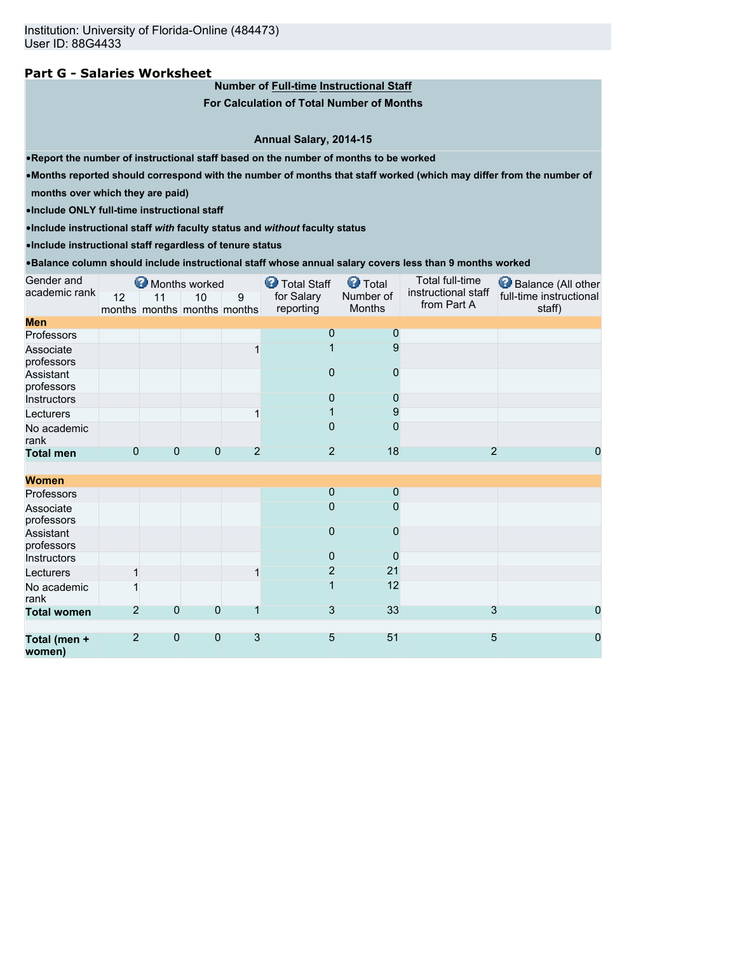# **Part G - Salaries Worksheet**

**Number of Full-time Instructional Staff**

**For Calculation of Total Number of Months**

**Annual Salary, 2014-15**

•**Report the number of instructional staff based on the number of months to be worked**

•**Months reported should correspond with the number of months that staff worked (which may differ from the number of**

**months over which they are paid)**

•**Include ONLY full-time instructional staff**

•**Include instructional staff** *with* **faculty status and** *without* **faculty status**

•**Include instructional staff regardless of tenure status**

•**Balance column should include instructional staff whose annual salary covers less than 9 months worked**

| Gender and              |                |              | Months worked                     |                | <b>D</b> Total Staff    | <b>O</b> Total      | Total full-time                    | Balance (All other                |
|-------------------------|----------------|--------------|-----------------------------------|----------------|-------------------------|---------------------|------------------------------------|-----------------------------------|
| academic rank           | 12             | 11           | 10<br>months months months months | 9              | for Salary<br>reporting | Number of<br>Months | instructional staff<br>from Part A | full-time instructional<br>staff) |
| <b>Men</b>              |                |              |                                   |                |                         |                     |                                    |                                   |
| Professors              |                |              |                                   |                | 0                       | 0                   |                                    |                                   |
| Associate<br>professors |                |              |                                   |                |                         | 9                   |                                    |                                   |
| Assistant<br>professors |                |              |                                   |                | $\mathbf{0}$            | 0                   |                                    |                                   |
| Instructors             |                |              |                                   |                | $\mathbf 0$             | 0                   |                                    |                                   |
| Lecturers               |                |              |                                   |                |                         | 9                   |                                    |                                   |
| No academic<br>rank     |                |              |                                   |                | 0                       | 0                   |                                    |                                   |
| <b>Total men</b>        | $\Omega$       | 0            | 0                                 | $\overline{2}$ | $\overline{2}$          | 18                  | $\overline{2}$                     | 0                                 |
|                         |                |              |                                   |                |                         |                     |                                    |                                   |
| <b>Women</b>            |                |              |                                   |                |                         |                     |                                    |                                   |
| Professors              |                |              |                                   |                | $\overline{0}$          | $\mathbf 0$         |                                    |                                   |
| Associate<br>professors |                |              |                                   |                | $\Omega$                | 0                   |                                    |                                   |
| Assistant<br>professors |                |              |                                   |                | $\overline{0}$          | 0                   |                                    |                                   |
| Instructors             |                |              |                                   |                | $\overline{0}$          | 0                   |                                    |                                   |
| Lecturers               | 1              |              |                                   | $\mathbf{1}$   | $\overline{2}$          | 21                  |                                    |                                   |
| No academic<br>rank     |                |              |                                   |                | 1                       | 12                  |                                    |                                   |
| <b>Total women</b>      | $\overline{2}$ | $\mathbf{0}$ | $\overline{0}$                    | 1              | $\mathbf{3}$            | 33                  | 3                                  | 0                                 |
|                         |                |              |                                   |                |                         |                     |                                    |                                   |
| Total (men +<br>women)  | $\overline{2}$ | $\mathbf{0}$ | $\overline{0}$                    | 3              | 5                       | 51                  | 5                                  | 0                                 |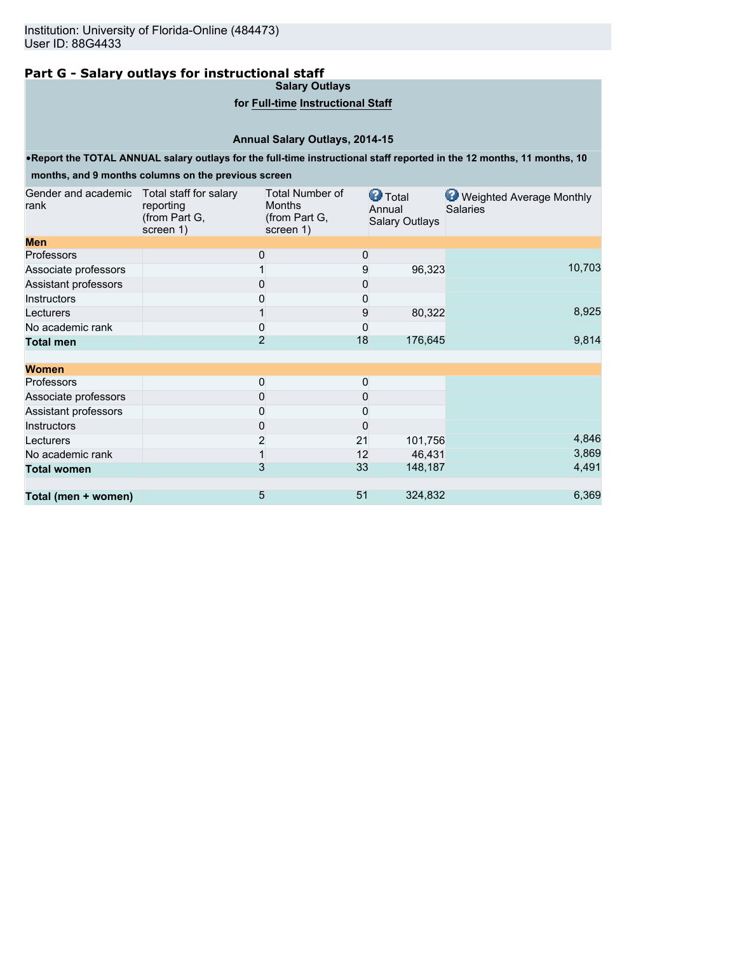# **Part G - Salary outlays for instructional staff**

**Salary Outlays**

## **for Full-time Instructional Staff**

# **Annual Salary Outlays, 2014-15**

•**Report the TOTAL ANNUAL salary outlays for the full-time instructional staff reported in the 12 months, 11 months, 10**

# **months, and 9 months columns on the previous screen**

| Gender and academic<br>rank | Total staff for salary<br>reporting<br>(from Part G,<br>screen 1) | <b>Total Number of</b><br><b>Months</b><br>(from Part G,<br>screen 1) |    | <b>O</b> Total<br>Annual<br><b>Salary Outlays</b> | Weighted Average Monthly<br><b>Salaries</b> |
|-----------------------------|-------------------------------------------------------------------|-----------------------------------------------------------------------|----|---------------------------------------------------|---------------------------------------------|
| <b>Men</b>                  |                                                                   |                                                                       |    |                                                   |                                             |
| <b>Professors</b>           |                                                                   | 0                                                                     | 0  |                                                   |                                             |
| Associate professors        |                                                                   |                                                                       | 9  | 96,323                                            | 10,703                                      |
| Assistant professors        |                                                                   | 0                                                                     | 0  |                                                   |                                             |
| <b>Instructors</b>          |                                                                   | 0                                                                     | 0  |                                                   |                                             |
| Lecturers                   |                                                                   |                                                                       | 9  | 80,322                                            | 8,925                                       |
| No academic rank            |                                                                   | 0                                                                     | 0  |                                                   |                                             |
| <b>Total men</b>            |                                                                   | $\overline{2}$                                                        | 18 | 176,645                                           | 9,814                                       |
| <b>Women</b>                |                                                                   |                                                                       |    |                                                   |                                             |
| <b>Professors</b>           |                                                                   | 0                                                                     | 0  |                                                   |                                             |
| Associate professors        |                                                                   | 0                                                                     | 0  |                                                   |                                             |
| Assistant professors        |                                                                   | 0                                                                     | 0  |                                                   |                                             |
| <b>Instructors</b>          |                                                                   | $\Omega$                                                              | 0  |                                                   |                                             |
| Lecturers                   |                                                                   | 2                                                                     | 21 | 101,756                                           | 4,846                                       |
| No academic rank            |                                                                   |                                                                       | 12 | 46,431                                            | 3,869                                       |
| <b>Total women</b>          |                                                                   | 3                                                                     | 33 | 148,187                                           | 4,491                                       |
|                             |                                                                   |                                                                       |    |                                                   |                                             |
| Total (men + women)         |                                                                   | 5                                                                     | 51 | 324,832                                           | 6,369                                       |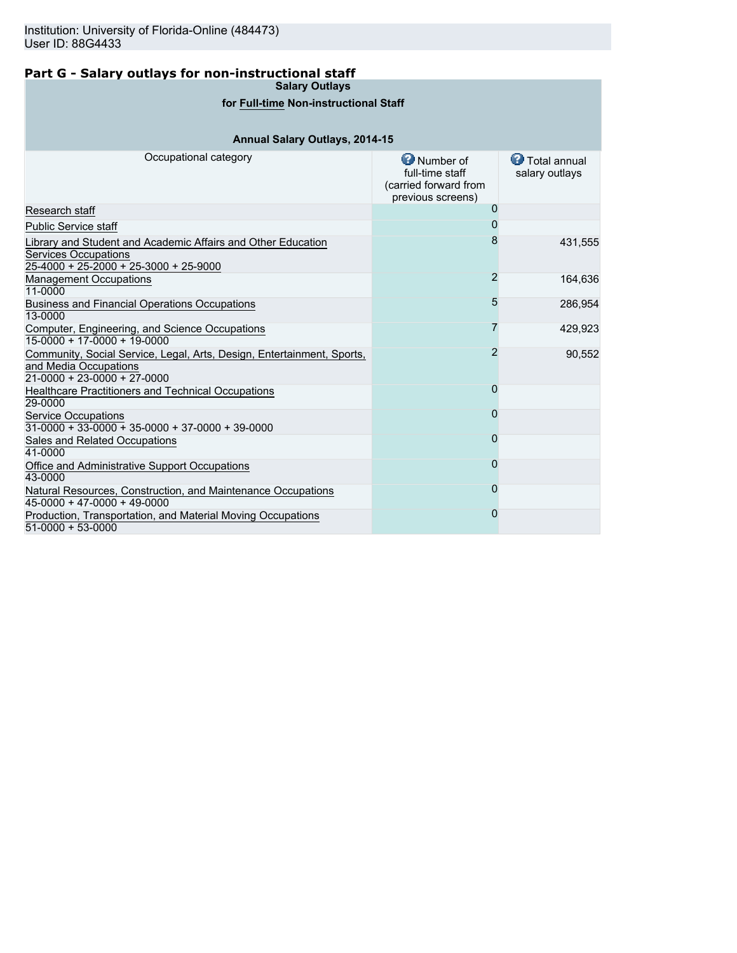# **Part G - Salary outlays for non-instructional staff**

**Salary Outlays**

# **for Full-time Non-instructional Staff**

# **Annual Salary Outlays, 2014-15**

| Occupational category                                                                                                                  | <b>O</b> Number of<br>full-time staff<br>(carried forward from<br>previous screens) | <b>D</b> Total annual<br>salary outlays |
|----------------------------------------------------------------------------------------------------------------------------------------|-------------------------------------------------------------------------------------|-----------------------------------------|
| Research staff                                                                                                                         | 0                                                                                   |                                         |
| <b>Public Service staff</b>                                                                                                            |                                                                                     |                                         |
| Library and Student and Academic Affairs and Other Education<br><b>Services Occupations</b><br>$25-4000 + 25-2000 + 25-3000 + 25-9000$ | 8                                                                                   | 431,555                                 |
| <b>Management Occupations</b><br>11-0000                                                                                               | $\overline{2}$                                                                      | 164,636                                 |
| <b>Business and Financial Operations Occupations</b><br>13-0000                                                                        | 5                                                                                   | 286,954                                 |
| Computer, Engineering, and Science Occupations<br>$15-0000 + 17-0000 + 19-0000$                                                        |                                                                                     | 429,923                                 |
| Community, Social Service, Legal, Arts, Design, Entertainment, Sports,<br>and Media Occupations<br>$21 - 0000 + 23 - 0000 + 27 - 0000$ | 2                                                                                   | 90,552                                  |
| <b>Healthcare Practitioners and Technical Occupations</b><br>29-0000                                                                   | 0                                                                                   |                                         |
| <b>Service Occupations</b><br>$31-0000 + 33-0000 + 35-0000 + 37-0000 + 39-0000$                                                        | 0                                                                                   |                                         |
| Sales and Related Occupations<br>41-0000                                                                                               | 0                                                                                   |                                         |
| Office and Administrative Support Occupations<br>43-0000                                                                               | 0                                                                                   |                                         |
| Natural Resources, Construction, and Maintenance Occupations<br>$45-0000 + 47-0000 + 49-0000$                                          | 0                                                                                   |                                         |
| Production, Transportation, and Material Moving Occupations<br>$51-0000 + 53-0000$                                                     | 0                                                                                   |                                         |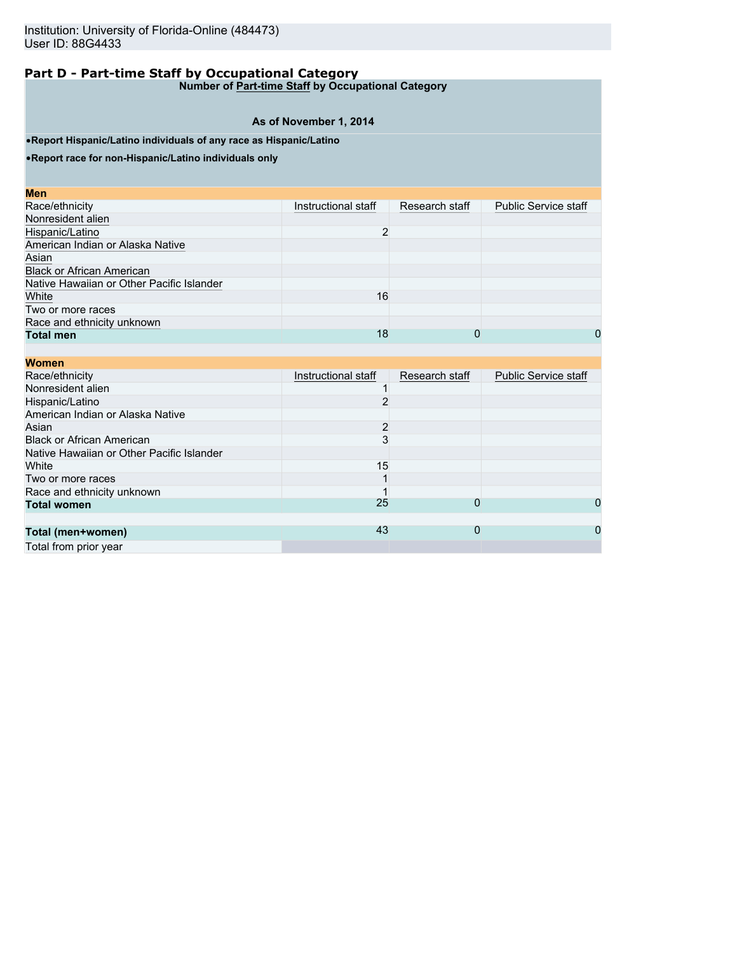**Number of Part-time Staff by Occupational Category**

# **As of November 1, 2014**

•**Report Hispanic/Latino individuals of any race as Hispanic/Latino**

•**Report race for non-Hispanic/Latino individuals only**

| Instructional staff | Research staff | <b>Public Service staff</b> |
|---------------------|----------------|-----------------------------|
|                     |                |                             |
| $\overline{2}$      |                |                             |
|                     |                |                             |
|                     |                |                             |
|                     |                |                             |
|                     |                |                             |
| 16                  |                |                             |
|                     |                |                             |
|                     |                |                             |
| 18                  | 0              | 0                           |
|                     |                |                             |

| <b>Women</b>                              |                     |                |                             |
|-------------------------------------------|---------------------|----------------|-----------------------------|
| Race/ethnicity                            | Instructional staff | Research staff | <b>Public Service staff</b> |
| Nonresident alien                         |                     |                |                             |
| Hispanic/Latino                           |                     |                |                             |
| American Indian or Alaska Native          |                     |                |                             |
| Asian                                     | 2                   |                |                             |
| <b>Black or African American</b>          | 3                   |                |                             |
| Native Hawaiian or Other Pacific Islander |                     |                |                             |
| White                                     | 15                  |                |                             |
| Two or more races                         |                     |                |                             |
| Race and ethnicity unknown                |                     |                |                             |
| <b>Total women</b>                        | 25                  | 0              | 0                           |
|                                           |                     |                |                             |
| Total (men+women)                         | 43                  | 0              | 0                           |
| Total from prior year                     |                     |                |                             |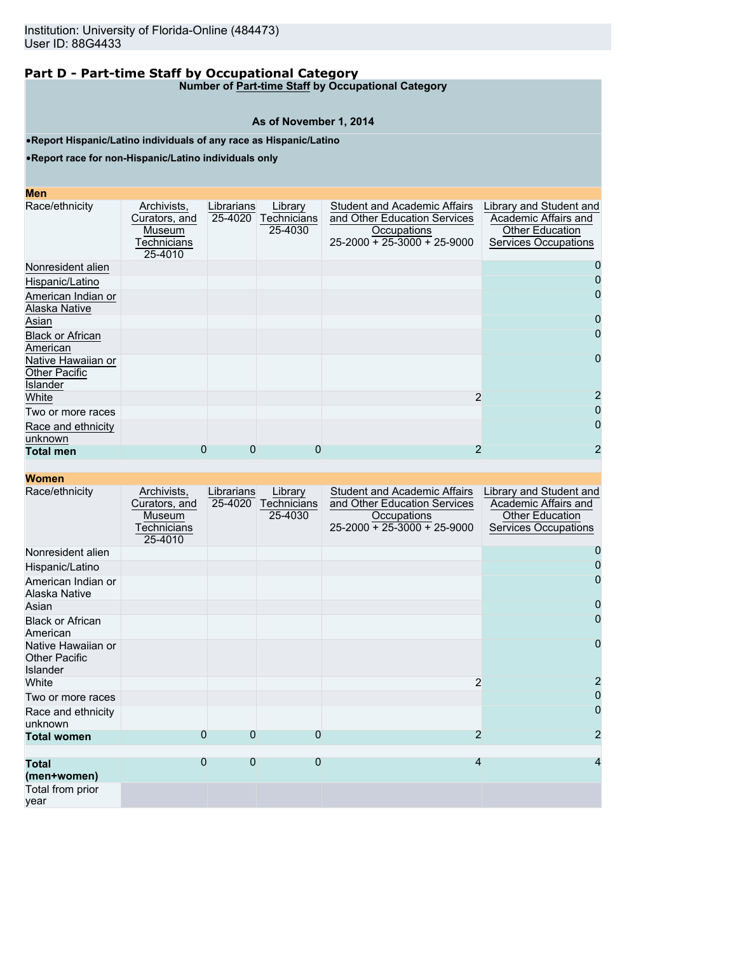**Number of Part-time Staff by Occupational Category**

#### **As of November 1, 2014**

•**Report Hispanic/Latino individuals of any race as Hispanic/Latino**

•**Report race for non-Hispanic/Latino individuals only**

| <b>Contract Contract Contract Contract Contract Contract Contract Contract Contract Contract Contract Contract Co</b><br>$\mathcal{L}^{\text{max}}_{\text{max}}$ and $\mathcal{L}^{\text{max}}_{\text{max}}$ and $\mathcal{L}^{\text{max}}_{\text{max}}$<br>$\mathcal{L}^{\text{max}}_{\text{max}}$ and $\mathcal{L}^{\text{max}}_{\text{max}}$ and $\mathcal{L}^{\text{max}}_{\text{max}}$ | <b>STATE OF STATE OF STATE OF STATE OF STATE OF STATE OF STATE OF STATE OF STATE OF STATE OF STATE OF STATE OF S</b> | <b>Contract Contract Contract Contract Contract Contract Contract Contract Contract Contract Contract Contract Co</b> |
|---------------------------------------------------------------------------------------------------------------------------------------------------------------------------------------------------------------------------------------------------------------------------------------------------------------------------------------------------------------------------------------------|----------------------------------------------------------------------------------------------------------------------|-----------------------------------------------------------------------------------------------------------------------|
| <b>Contract Contract Contract Contract Contract Contract Contract Contract Contract Contract Contract Contract Co</b>                                                                                                                                                                                                                                                                       |                                                                                                                      | and the state of the state of the state of the state of the state of the state of the state of the state of th        |

| Race/ethnicity                                         | Archivists,<br>Curators, and<br>Museum<br>Technicians<br>25-4010 | Librarians<br>25-4020 | Library<br>Technicians<br>25-4030 | <b>Student and Academic Affairs</b><br>and Other Education Services<br>Occupations<br>$25 - 2000 + 25 - 3000 + 25 - 9000$ | Library and Student and<br>Academic Affairs and<br>Other Education<br><b>Services Occupations</b> |
|--------------------------------------------------------|------------------------------------------------------------------|-----------------------|-----------------------------------|---------------------------------------------------------------------------------------------------------------------------|---------------------------------------------------------------------------------------------------|
| Nonresident alien                                      |                                                                  |                       |                                   |                                                                                                                           |                                                                                                   |
| Hispanic/Latino                                        |                                                                  |                       |                                   |                                                                                                                           |                                                                                                   |
| American Indian or<br>Alaska Native                    |                                                                  |                       |                                   |                                                                                                                           | O                                                                                                 |
| Asian                                                  |                                                                  |                       |                                   |                                                                                                                           | O                                                                                                 |
| <b>Black or African</b><br>American                    |                                                                  |                       |                                   |                                                                                                                           | 0                                                                                                 |
| Native Hawaiian or<br><b>Other Pacific</b><br>Islander |                                                                  |                       |                                   |                                                                                                                           |                                                                                                   |
| White                                                  |                                                                  |                       |                                   | 2                                                                                                                         |                                                                                                   |
| Two or more races                                      |                                                                  |                       |                                   |                                                                                                                           |                                                                                                   |
| Race and ethnicity<br>unknown                          |                                                                  |                       |                                   |                                                                                                                           |                                                                                                   |
| <b>Total men</b>                                       | 0                                                                | 0                     | 0                                 | 2                                                                                                                         |                                                                                                   |

| Race/ethnicity                                                | Archivists,<br>Curators, and<br>Museum<br>Technicians<br>25-4010 | Librarians<br>25-4020 | Library<br>Technicians<br>25-4030 | <b>Student and Academic Affairs</b><br>and Other Education Services<br>Occupations<br>$25-2000 + 25-3000 + 25-9000$ | Library and Student and<br>Academic Affairs and<br><b>Other Education</b><br><b>Services Occupations</b> |
|---------------------------------------------------------------|------------------------------------------------------------------|-----------------------|-----------------------------------|---------------------------------------------------------------------------------------------------------------------|----------------------------------------------------------------------------------------------------------|
| Nonresident alien                                             |                                                                  |                       |                                   |                                                                                                                     |                                                                                                          |
| Hispanic/Latino                                               |                                                                  |                       |                                   |                                                                                                                     |                                                                                                          |
| American Indian or<br>Alaska Native                           |                                                                  |                       |                                   |                                                                                                                     | O                                                                                                        |
| Asian                                                         |                                                                  |                       |                                   |                                                                                                                     | 0                                                                                                        |
| <b>Black or African</b><br>American                           |                                                                  |                       |                                   |                                                                                                                     | $\mathbf{O}$                                                                                             |
| Native Hawaiian or<br><b>Other Pacific</b><br><b>Islander</b> |                                                                  |                       |                                   |                                                                                                                     | 0                                                                                                        |
| White                                                         |                                                                  |                       |                                   | 2                                                                                                                   |                                                                                                          |
| Two or more races                                             |                                                                  |                       |                                   |                                                                                                                     |                                                                                                          |
| Race and ethnicity<br>unknown                                 |                                                                  |                       |                                   |                                                                                                                     | 0                                                                                                        |
| <b>Total women</b>                                            | $\Omega$                                                         | $\Omega$              | 0                                 | $\overline{2}$                                                                                                      | 2                                                                                                        |
|                                                               |                                                                  |                       |                                   |                                                                                                                     |                                                                                                          |
| <b>Total</b><br>(men+women)                                   | $\overline{0}$                                                   | $\Omega$              | $\mathbf 0$                       | 4                                                                                                                   |                                                                                                          |
| Total from prior<br>year                                      |                                                                  |                       |                                   |                                                                                                                     |                                                                                                          |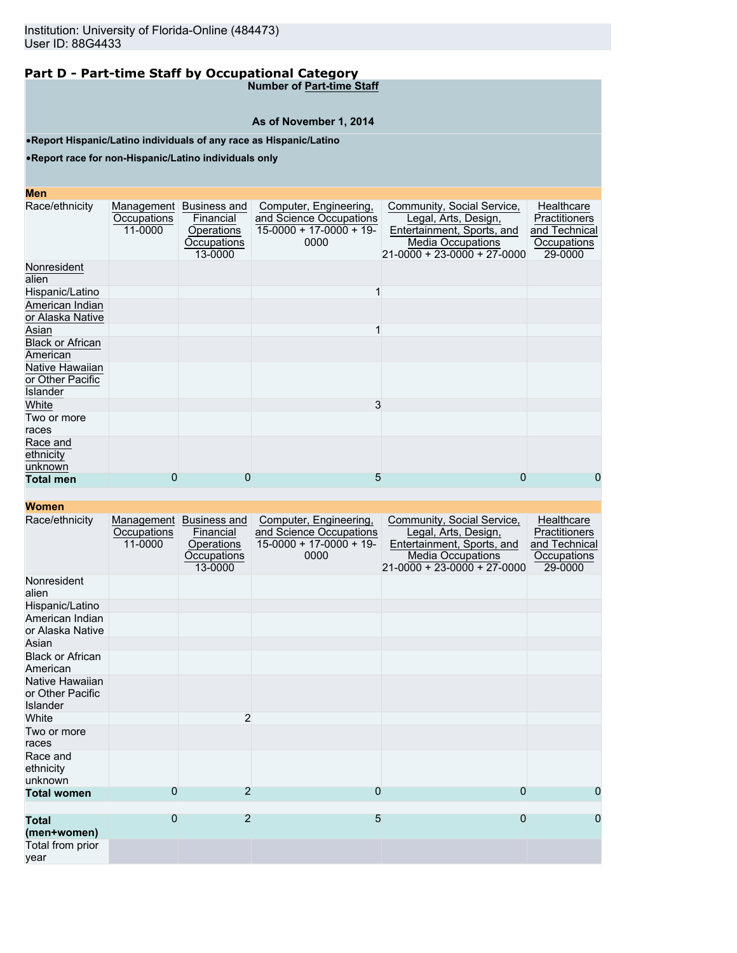**Number of Part-time Staff**

# **As of November 1, 2014**

•**Report Hispanic/Latino individuals of any race as Hispanic/Latino**

•**Report race for non-Hispanic/Latino individuals only**

# **Men**

| MGII                                                   |                                      |                                                                          |                                                                                       |                                                                                                                                             |                                                                        |
|--------------------------------------------------------|--------------------------------------|--------------------------------------------------------------------------|---------------------------------------------------------------------------------------|---------------------------------------------------------------------------------------------------------------------------------------------|------------------------------------------------------------------------|
| Race/ethnicity                                         | Management<br>Occupations<br>11-0000 | <b>Business and</b><br>Financial<br>Operations<br>Occupations<br>13-0000 | Computer, Engineering,<br>and Science Occupations<br>$15-0000 + 17-0000 + 19$<br>0000 | Community, Social Service,<br>Legal, Arts, Design,<br>Entertainment, Sports, and<br><b>Media Occupations</b><br>21-0000 + 23-0000 + 27-0000 | Healthcare<br>Practitioners<br>and Technical<br>Occupations<br>29-0000 |
| Nonresident<br>alien                                   |                                      |                                                                          |                                                                                       |                                                                                                                                             |                                                                        |
| Hispanic/Latino                                        |                                      |                                                                          |                                                                                       |                                                                                                                                             |                                                                        |
| American Indian<br>or Alaska Native                    |                                      |                                                                          |                                                                                       |                                                                                                                                             |                                                                        |
| Asian                                                  |                                      |                                                                          |                                                                                       |                                                                                                                                             |                                                                        |
| <b>Black or African</b><br>American                    |                                      |                                                                          |                                                                                       |                                                                                                                                             |                                                                        |
| Native Hawaiian<br>or Other Pacific<br><b>Islander</b> |                                      |                                                                          |                                                                                       |                                                                                                                                             |                                                                        |
| White                                                  |                                      |                                                                          | 3                                                                                     |                                                                                                                                             |                                                                        |
| Two or more<br>races                                   |                                      |                                                                          |                                                                                       |                                                                                                                                             |                                                                        |
| Race and<br>ethnicity<br>unknown                       |                                      |                                                                          |                                                                                       |                                                                                                                                             |                                                                        |
| <b>Total men</b>                                       | 0                                    | 0                                                                        | 5                                                                                     | 0                                                                                                                                           | 0                                                                      |
|                                                        |                                      |                                                                          |                                                                                       |                                                                                                                                             |                                                                        |

| Race/ethnicity                                  | Management<br>Occupations<br>11-0000 | Business and<br>Financial<br>Operations<br>Occupations<br>13-0000 | Computer, Engineering,<br>and Science Occupations<br>$15-0000 + 17-0000 + 19$<br>0000 | Community, Social Service,<br>Legal, Arts, Design,<br>Entertainment, Sports, and<br><b>Media Occupations</b><br>$21-0000 + 23-0000 + 27-0000$ | Healthcare<br><b>Practitioners</b><br>and Technical<br>Occupations<br>29-0000 |
|-------------------------------------------------|--------------------------------------|-------------------------------------------------------------------|---------------------------------------------------------------------------------------|-----------------------------------------------------------------------------------------------------------------------------------------------|-------------------------------------------------------------------------------|
| Nonresident<br>alien                            |                                      |                                                                   |                                                                                       |                                                                                                                                               |                                                                               |
| Hispanic/Latino                                 |                                      |                                                                   |                                                                                       |                                                                                                                                               |                                                                               |
| American Indian<br>or Alaska Native             |                                      |                                                                   |                                                                                       |                                                                                                                                               |                                                                               |
| Asian                                           |                                      |                                                                   |                                                                                       |                                                                                                                                               |                                                                               |
| <b>Black or African</b><br>American             |                                      |                                                                   |                                                                                       |                                                                                                                                               |                                                                               |
| Native Hawaiian<br>or Other Pacific<br>Islander |                                      |                                                                   |                                                                                       |                                                                                                                                               |                                                                               |
| White                                           |                                      | $\overline{2}$                                                    |                                                                                       |                                                                                                                                               |                                                                               |
| Two or more<br>races                            |                                      |                                                                   |                                                                                       |                                                                                                                                               |                                                                               |
| Race and<br>ethnicity<br>unknown                |                                      |                                                                   |                                                                                       |                                                                                                                                               |                                                                               |
| <b>Total women</b>                              | 0                                    | 2                                                                 | $\mathbf 0$                                                                           | 0                                                                                                                                             | 0                                                                             |
| <b>Total</b><br>(men+women)                     | $\overline{0}$                       | $\overline{2}$                                                    | 5                                                                                     | $\overline{0}$                                                                                                                                | $\overline{0}$                                                                |
| Total from prior<br>year                        |                                      |                                                                   |                                                                                       |                                                                                                                                               |                                                                               |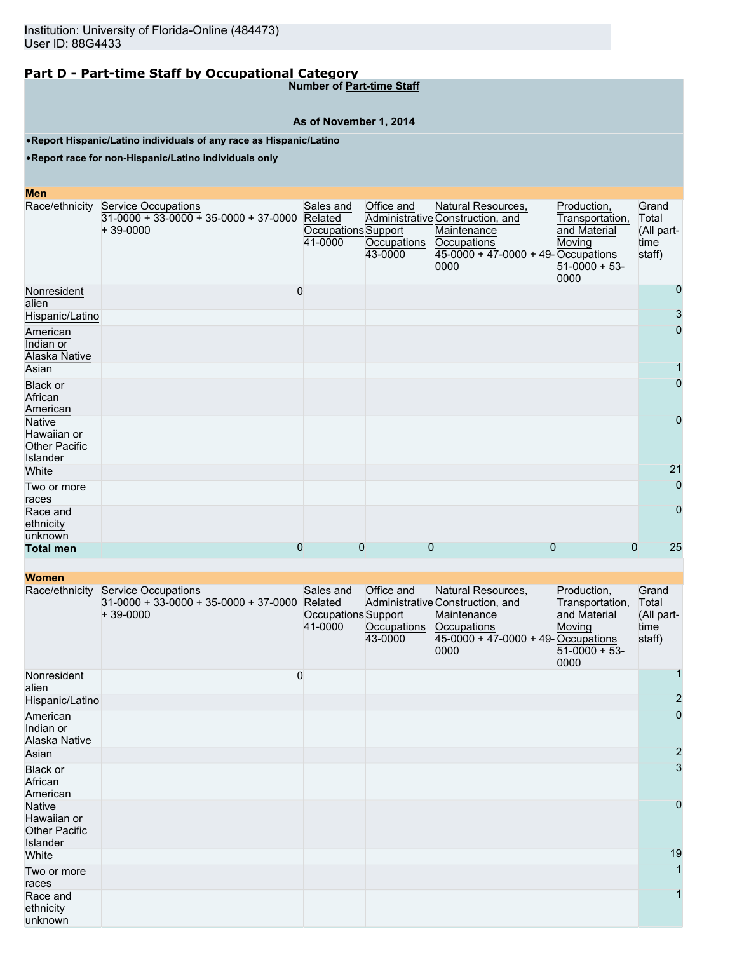**Number of Part-time Staff**

# **As of November 1, 2014**

•**Report Hispanic/Latino individuals of any race as Hispanic/Latino**

•**Report race for non-Hispanic/Latino individuals only**

| <b>Men</b>                                         |                                                                                     |                                                        |                                      |                                                                                                                                              |                                                                                      |                                                |
|----------------------------------------------------|-------------------------------------------------------------------------------------|--------------------------------------------------------|--------------------------------------|----------------------------------------------------------------------------------------------------------------------------------------------|--------------------------------------------------------------------------------------|------------------------------------------------|
| Race/ethnicity                                     | <b>Service Occupations</b><br>$31-0000 + 33-0000 + 35-0000 + 37-0000$<br>$+39-0000$ | Sales and<br>Related<br>Occupations Support<br>41-0000 | Office and<br>Occupations<br>43-0000 | Natural Resources,<br>Administrative Construction, and<br>Maintenance<br><b>Occupations</b><br>$45-0000 + 47-0000 + 49$ -Occupations<br>0000 | Production,<br>Transportation,<br>and Material<br>Moving<br>$51-0000 + 53$ -<br>0000 | Grand<br>Total<br>(All part-<br>time<br>staff) |
| Nonresident<br>alien                               |                                                                                     | $\mathbf 0$                                            |                                      |                                                                                                                                              |                                                                                      | 0                                              |
| Hispanic/Latino                                    |                                                                                     |                                                        |                                      |                                                                                                                                              |                                                                                      | 3                                              |
| American<br>Indian or<br>Alaska Native             |                                                                                     |                                                        |                                      |                                                                                                                                              |                                                                                      | 0                                              |
| Asian                                              |                                                                                     |                                                        |                                      |                                                                                                                                              |                                                                                      |                                                |
| Black or<br>African<br>American                    |                                                                                     |                                                        |                                      |                                                                                                                                              |                                                                                      | 0                                              |
| Native<br>Hawaiian or<br>Other Pacific<br>Islander |                                                                                     |                                                        |                                      |                                                                                                                                              |                                                                                      | 0                                              |
| White                                              |                                                                                     |                                                        |                                      |                                                                                                                                              |                                                                                      | 21                                             |
| Two or more<br>races                               |                                                                                     |                                                        |                                      |                                                                                                                                              |                                                                                      | $\overline{0}$                                 |
| Race and<br>ethnicity<br>unknown                   |                                                                                     |                                                        |                                      |                                                                                                                                              |                                                                                      | $\overline{0}$                                 |
| <b>Total men</b>                                   |                                                                                     | 0                                                      | 0<br>0                               | 0                                                                                                                                            |                                                                                      | 25<br>0                                        |

| <b>WATHEIT</b>                                                   |                                                                                     |                                                        |                                      |                                                                                                                                       |                                                                                     |                                                |
|------------------------------------------------------------------|-------------------------------------------------------------------------------------|--------------------------------------------------------|--------------------------------------|---------------------------------------------------------------------------------------------------------------------------------------|-------------------------------------------------------------------------------------|------------------------------------------------|
| Race/ethnicity                                                   | <b>Service Occupations</b><br>$31-0000 + 33-0000 + 35-0000 + 37-0000$<br>$+39-0000$ | Sales and<br>Related<br>Occupations Support<br>41-0000 | Office and<br>Occupations<br>43-0000 | Natural Resources,<br>Administrative Construction, and<br>Maintenance<br>Occupations<br>$45-0000 + 47-0000 + 49$ -Occupations<br>0000 | Production,<br>Transportation,<br>and Material<br>Moving<br>$51-0000 + 53-$<br>0000 | Grand<br>Total<br>(All part-<br>time<br>staff) |
| Nonresident<br>alien                                             |                                                                                     | 0                                                      |                                      |                                                                                                                                       |                                                                                     |                                                |
| Hispanic/Latino                                                  |                                                                                     |                                                        |                                      |                                                                                                                                       |                                                                                     | $\overline{2}$                                 |
| American<br>Indian or<br>Alaska Native                           |                                                                                     |                                                        |                                      |                                                                                                                                       |                                                                                     | $\pmb{0}$                                      |
| Asian                                                            |                                                                                     |                                                        |                                      |                                                                                                                                       |                                                                                     | $\overline{c}$                                 |
| Black or<br>African<br>American                                  |                                                                                     |                                                        |                                      |                                                                                                                                       |                                                                                     | 3                                              |
| <b>Native</b><br>Hawaiian or<br><b>Other Pacific</b><br>Islander |                                                                                     |                                                        |                                      |                                                                                                                                       |                                                                                     | $\mathbf 0$                                    |
| White                                                            |                                                                                     |                                                        |                                      |                                                                                                                                       |                                                                                     | 19                                             |
| Two or more<br>races                                             |                                                                                     |                                                        |                                      |                                                                                                                                       |                                                                                     | 1                                              |
| Race and<br>ethnicity<br>unknown                                 |                                                                                     |                                                        |                                      |                                                                                                                                       |                                                                                     | 1                                              |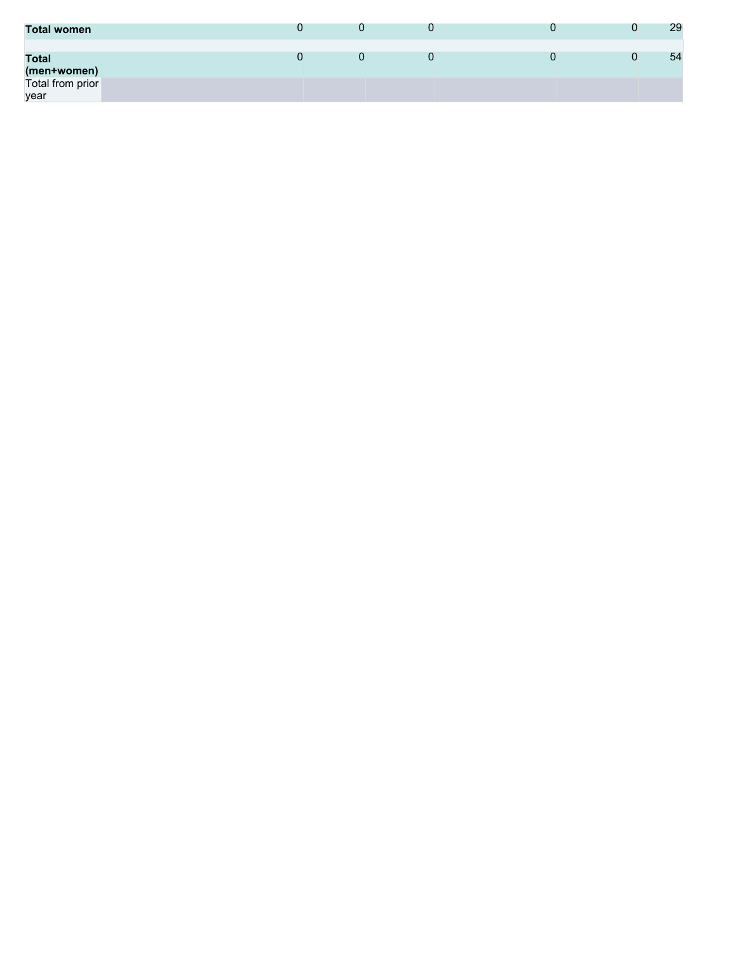| <b>Total women</b>          |  |  | 29 |
|-----------------------------|--|--|----|
| <b>Total</b><br>(men+women) |  |  | 54 |
| Total from prior<br>year    |  |  |    |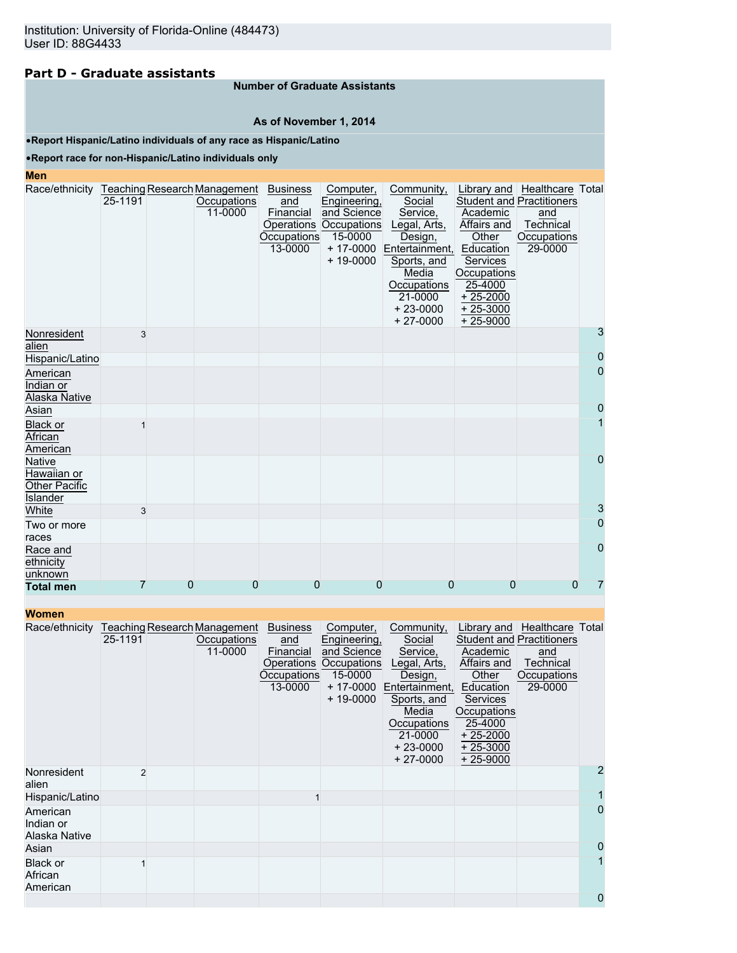# **Part D - Graduate assistants**

### **Number of Graduate Assistants**

### **As of November 1, 2014**

### •**Report Hispanic/Latino individuals of any race as Hispanic/Latino**

### •**Report race for non-Hispanic/Latino individuals only**

#### **Men**

| Race/ethnicity Teaching Research Management | 25-1191 |                | Occupations | <b>Business</b><br>and | Computer,<br>Engineering,         | Community,<br>Social                |                      | Library and   Healthcare   Total<br><b>Student and Practitioners</b> |                |
|---------------------------------------------|---------|----------------|-------------|------------------------|-----------------------------------|-------------------------------------|----------------------|----------------------------------------------------------------------|----------------|
|                                             |         |                | 11-0000     | Financial              | and Science                       | Service,                            | Academic             | and                                                                  |                |
|                                             |         |                |             | <b>Occupations</b>     | Operations Occupations<br>15-0000 | Legal, Arts,                        | Affairs and<br>Other | Technical<br>Occupations                                             |                |
|                                             |         |                |             | 13-0000                |                                   | Design,<br>+ 17-0000 Entertainment, | Education            | 29-0000                                                              |                |
|                                             |         |                |             |                        | $+ 19 - 0000$                     | Sports, and                         | <b>Services</b>      |                                                                      |                |
|                                             |         |                |             |                        |                                   | Media                               | Occupations          |                                                                      |                |
|                                             |         |                |             |                        |                                   | Occupations                         | 25-4000              |                                                                      |                |
|                                             |         |                |             |                        |                                   | 21-0000                             | $+25-2000$           |                                                                      |                |
|                                             |         |                |             |                        |                                   | $+23-0000$                          | $+25-3000$           |                                                                      |                |
|                                             |         |                |             |                        |                                   | $+27-0000$                          | $+25-9000$           |                                                                      |                |
| Nonresident<br>alien                        | 3       |                |             |                        |                                   |                                     |                      |                                                                      | 3              |
| Hispanic/Latino                             |         |                |             |                        |                                   |                                     |                      |                                                                      | $\overline{0}$ |
| American                                    |         |                |             |                        |                                   |                                     |                      |                                                                      | $\overline{0}$ |
| Indian or                                   |         |                |             |                        |                                   |                                     |                      |                                                                      |                |
| Alaska Native                               |         |                |             |                        |                                   |                                     |                      |                                                                      |                |
| Asian                                       |         |                |             |                        |                                   |                                     |                      |                                                                      | $\overline{0}$ |
| <b>Black or</b>                             |         |                |             |                        |                                   |                                     |                      |                                                                      | 1              |
| African                                     |         |                |             |                        |                                   |                                     |                      |                                                                      |                |
| American                                    |         |                |             |                        |                                   |                                     |                      |                                                                      |                |
| <b>Native</b>                               |         |                |             |                        |                                   |                                     |                      |                                                                      | $\overline{0}$ |
| Hawaiian or                                 |         |                |             |                        |                                   |                                     |                      |                                                                      |                |
| <b>Other Pacific</b>                        |         |                |             |                        |                                   |                                     |                      |                                                                      |                |
| <b>Islander</b>                             |         |                |             |                        |                                   |                                     |                      |                                                                      |                |
| White                                       | 3       |                |             |                        |                                   |                                     |                      |                                                                      | 3              |
| Two or more                                 |         |                |             |                        |                                   |                                     |                      |                                                                      | $\overline{0}$ |
| races                                       |         |                |             |                        |                                   |                                     |                      |                                                                      |                |
| Race and                                    |         |                |             |                        |                                   |                                     |                      |                                                                      | $\overline{0}$ |
| ethnicity                                   |         |                |             |                        |                                   |                                     |                      |                                                                      |                |
| unknown                                     | 7       | $\overline{0}$ | 0           | $\Omega$               | $\Omega$                          | 0                                   | 0                    | $\Omega$                                                             | 7              |
| <b>Total men</b>                            |         |                |             |                        |                                   |                                     |                      |                                                                      |                |

| wuhigh                                 |                |                                                        |                                                                             |                                                                                                             |                                                                                                                                                             |                                                                                                                               |                                                                                                                |                |
|----------------------------------------|----------------|--------------------------------------------------------|-----------------------------------------------------------------------------|-------------------------------------------------------------------------------------------------------------|-------------------------------------------------------------------------------------------------------------------------------------------------------------|-------------------------------------------------------------------------------------------------------------------------------|----------------------------------------------------------------------------------------------------------------|----------------|
| Race/ethnicity                         | 25-1191        | Teaching Research Management<br>Occupations<br>11-0000 | <b>Business</b><br>and<br>Financial<br>Operations<br>Occupations<br>13-0000 | Computer,<br>Engineering,<br>and Science<br><b>Occupations</b><br>15-0000<br>$+ 17 - 0000$<br>$+ 19 - 0000$ | Community,<br>Social<br>Service,<br>Legal, Arts,<br>Design,<br>Entertainment,<br>Sports, and<br>Media<br>Occupations<br>21-0000<br>$+23-0000$<br>$+27-0000$ | Academic<br>Affairs and<br>Other<br>Education<br>Services<br>Occupations<br>25-4000<br>$+25-2000$<br>$+25-3000$<br>$+25-9000$ | Library and Healthcare Total<br><b>Student and Practitioners</b><br>and<br>Technical<br>Occupations<br>29-0000 |                |
| Nonresident<br>alien                   | $\mathfrak{p}$ |                                                        |                                                                             |                                                                                                             |                                                                                                                                                             |                                                                                                                               |                                                                                                                | $\overline{2}$ |
| Hispanic/Latino                        |                |                                                        |                                                                             |                                                                                                             |                                                                                                                                                             |                                                                                                                               |                                                                                                                |                |
| American<br>Indian or<br>Alaska Native |                |                                                        |                                                                             |                                                                                                             |                                                                                                                                                             |                                                                                                                               |                                                                                                                | $\overline{0}$ |
| Asian                                  |                |                                                        |                                                                             |                                                                                                             |                                                                                                                                                             |                                                                                                                               |                                                                                                                | $\mathbf 0$    |
| Black or<br>African<br>American        |                |                                                        |                                                                             |                                                                                                             |                                                                                                                                                             |                                                                                                                               |                                                                                                                |                |
|                                        |                |                                                        |                                                                             |                                                                                                             |                                                                                                                                                             |                                                                                                                               |                                                                                                                | $\overline{0}$ |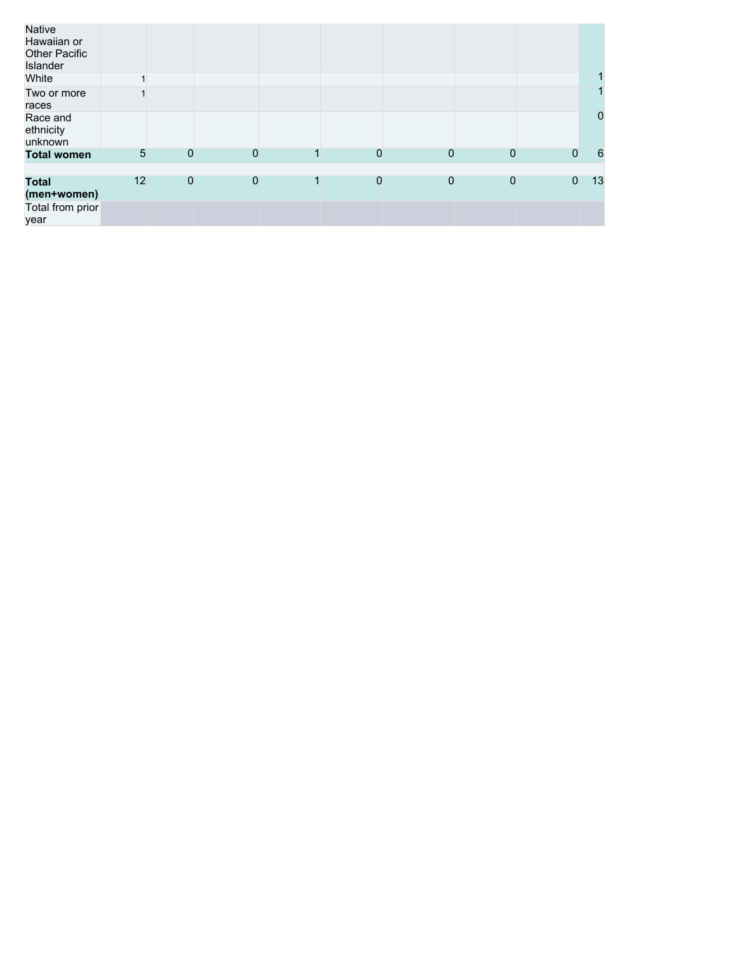| Native<br>Hawaiian or<br>Other Pacific<br>Islander |    |             |                |   |             |              |              |              |             |
|----------------------------------------------------|----|-------------|----------------|---|-------------|--------------|--------------|--------------|-------------|
| White                                              |    |             |                |   |             |              |              |              |             |
| Two or more<br>races                               |    |             |                |   |             |              |              |              |             |
| Race and<br>ethnicity<br>unknown                   |    |             |                |   |             |              |              |              | $\mathbf 0$ |
| <b>Total women</b>                                 | 5  | 0           | $\Omega$       |   | $\Omega$    | $\Omega$     | $\Omega$     | $\Omega$     | 6           |
|                                                    |    |             |                |   |             |              |              |              |             |
| Total<br>(men+women)                               | 12 | $\mathbf 0$ | $\overline{0}$ | 1 | $\mathbf 0$ | $\mathbf{0}$ | $\mathbf{0}$ | $\mathbf{0}$ | 13          |
| Total from prior<br>year                           |    |             |                |   |             |              |              |              |             |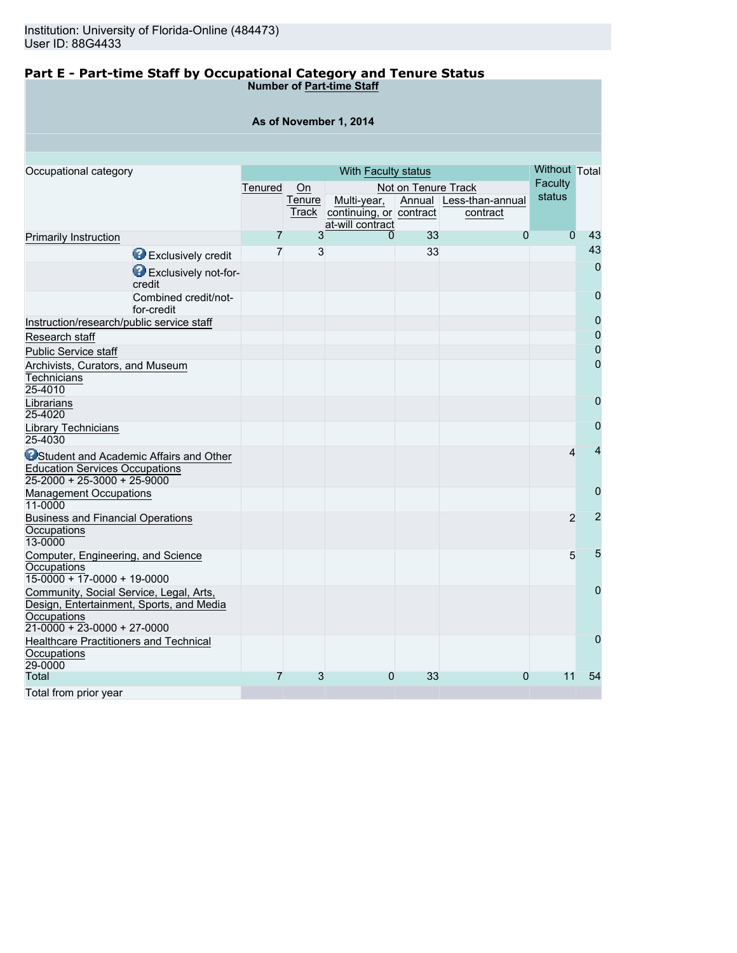### **Part E - Part-time Staff by Occupational Category and Tenure Status Number of Part-time Staff**

| As of November 1, 2014                                                                             |                                    |         |              |                         |                     |                         |                          |                |  |  |  |
|----------------------------------------------------------------------------------------------------|------------------------------------|---------|--------------|-------------------------|---------------------|-------------------------|--------------------------|----------------|--|--|--|
|                                                                                                    |                                    |         |              |                         |                     |                         |                          |                |  |  |  |
|                                                                                                    |                                    |         |              |                         |                     |                         |                          |                |  |  |  |
| Occupational category                                                                              |                                    |         |              | With Faculty status     |                     |                         | Without Total<br>Faculty |                |  |  |  |
|                                                                                                    |                                    | Tenured | On<br>Tenure | Multi-year,             | Not on Tenure Track | Annual Less-than-annual | status                   |                |  |  |  |
|                                                                                                    |                                    |         | Track        | continuing, or contract |                     | contract                |                          |                |  |  |  |
|                                                                                                    |                                    |         |              | at-will contract        |                     |                         |                          |                |  |  |  |
| Primarily Instruction                                                                              |                                    | 7       | 3            | 0                       | 33                  | $\Omega$                | $\Omega$                 | 43             |  |  |  |
|                                                                                                    | Exclusively credit                 | 7       | 3            |                         | 33                  |                         |                          | 43             |  |  |  |
|                                                                                                    | Exclusively not-for-<br>credit     |         |              |                         |                     |                         |                          | $\overline{0}$ |  |  |  |
|                                                                                                    | Combined credit/not-<br>for-credit |         |              |                         |                     |                         |                          | $\mathbf 0$    |  |  |  |
| Instruction/research/public service staff                                                          |                                    |         |              |                         |                     |                         |                          | $\mathbf 0$    |  |  |  |
| Research staff                                                                                     |                                    |         |              |                         |                     |                         |                          | 0              |  |  |  |
| <b>Public Service staff</b>                                                                        |                                    |         |              |                         |                     |                         |                          | $\overline{0}$ |  |  |  |
| Archivists, Curators, and Museum                                                                   |                                    |         |              |                         |                     |                         |                          | $\mathbf 0$    |  |  |  |
| <b>Technicians</b><br>25-4010                                                                      |                                    |         |              |                         |                     |                         |                          |                |  |  |  |
| Librarians<br>25-4020                                                                              |                                    |         |              |                         |                     |                         |                          | $\overline{0}$ |  |  |  |
| Library Technicians                                                                                |                                    |         |              |                         |                     |                         |                          | 0              |  |  |  |
| 25-4030                                                                                            |                                    |         |              |                         |                     |                         |                          |                |  |  |  |
| <b>O</b> Student and Academic Affairs and Other<br><b>Education Services Occupations</b>           |                                    |         |              |                         |                     |                         | 4                        |                |  |  |  |
| 25-2000 + 25-3000 + 25-9000                                                                        |                                    |         |              |                         |                     |                         |                          |                |  |  |  |
| <b>Management Occupations</b><br>11-0000                                                           |                                    |         |              |                         |                     |                         |                          | 0              |  |  |  |
| <b>Business and Financial Operations</b>                                                           |                                    |         |              |                         |                     |                         | $\overline{2}$           | 2              |  |  |  |
| Occupations<br>13-0000                                                                             |                                    |         |              |                         |                     |                         |                          |                |  |  |  |
| Computer, Engineering, and Science                                                                 |                                    |         |              |                         |                     |                         | 5                        | 5              |  |  |  |
| Occupations<br>$15-0000 + 17-0000 + 19-0000$                                                       |                                    |         |              |                         |                     |                         |                          |                |  |  |  |
| Community, Social Service, Legal, Arts,<br>Design, Entertainment, Sports, and Media<br>Occupations |                                    |         |              |                         |                     |                         |                          | 0              |  |  |  |
| $21 - 0000 + 23 - 0000 + 27 - 0000$                                                                |                                    |         |              |                         |                     |                         |                          |                |  |  |  |
| <b>Healthcare Practitioners and Technical</b><br>Occupations<br>29-0000                            |                                    |         |              |                         |                     |                         |                          | 0              |  |  |  |
| Total                                                                                              |                                    | 7       | 3            | 0                       | 33                  | $\Omega$                | 11                       | 54             |  |  |  |
|                                                                                                    |                                    |         |              |                         |                     |                         |                          |                |  |  |  |

Total from prior year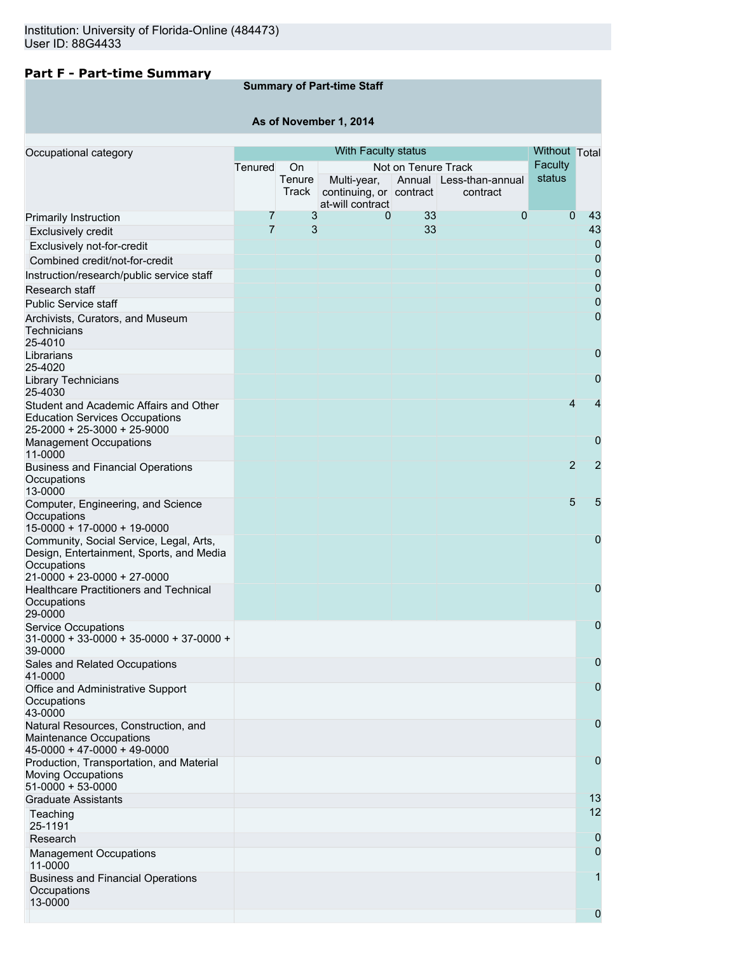# **Part F - Part-time Summary**

# **Summary of Part-time Staff**

# **As of November 1, 2014**

| Occupational category                                                                                          |                | Without Total   |                                        |                     |                                     |                |                |
|----------------------------------------------------------------------------------------------------------------|----------------|-----------------|----------------------------------------|---------------------|-------------------------------------|----------------|----------------|
|                                                                                                                | Tenured        | On              |                                        | Not on Tenure Track |                                     | <b>Faculty</b> |                |
|                                                                                                                |                | Tenure<br>Track | Multi-year,<br>continuing, or contract |                     | Annual Less-than-annual<br>contract | status         |                |
|                                                                                                                |                |                 | at-will contract                       |                     |                                     |                |                |
| <b>Primarily Instruction</b>                                                                                   | 7              | 3               | 0                                      | 33                  | $\overline{0}$                      | $\overline{0}$ | 43             |
| <b>Exclusively credit</b>                                                                                      | $\overline{7}$ | 3               |                                        | 33                  |                                     |                | 43             |
| Exclusively not-for-credit                                                                                     |                |                 |                                        |                     |                                     |                | 0              |
| Combined credit/not-for-credit                                                                                 |                |                 |                                        |                     |                                     |                | 0              |
| Instruction/research/public service staff                                                                      |                |                 |                                        |                     |                                     |                | 0              |
| Research staff                                                                                                 |                |                 |                                        |                     |                                     |                | $\mathbf 0$    |
| <b>Public Service staff</b>                                                                                    |                |                 |                                        |                     |                                     |                | $\mathbf 0$    |
| Archivists, Curators, and Museum<br>Technicians<br>25-4010                                                     |                |                 |                                        |                     |                                     |                | 0              |
| Librarians<br>25-4020                                                                                          |                |                 |                                        |                     |                                     |                | 0              |
| <b>Library Technicians</b><br>25-4030                                                                          |                |                 |                                        |                     |                                     |                | 0              |
| Student and Academic Affairs and Other<br><b>Education Services Occupations</b><br>25-2000 + 25-3000 + 25-9000 |                |                 |                                        |                     |                                     | 4              | 4              |
| <b>Management Occupations</b><br>11-0000                                                                       |                |                 |                                        |                     |                                     |                | 0              |
| <b>Business and Financial Operations</b><br>Occupations<br>13-0000                                             |                |                 |                                        |                     |                                     | $\overline{2}$ | $\overline{2}$ |
| Computer, Engineering, and Science<br>Occupations<br>15-0000 + 17-0000 + 19-0000                               |                |                 |                                        |                     |                                     | 5              | 5              |
| Community, Social Service, Legal, Arts,<br>Design, Entertainment, Sports, and Media<br>Occupations             |                |                 |                                        |                     |                                     |                | 0              |
| 21-0000 + 23-0000 + 27-0000                                                                                    |                |                 |                                        |                     |                                     |                |                |
| <b>Healthcare Practitioners and Technical</b>                                                                  |                |                 |                                        |                     |                                     |                | 0              |
| Occupations<br>29-0000                                                                                         |                |                 |                                        |                     |                                     |                |                |
| <b>Service Occupations</b><br>$31-0000 + 33-0000 + 35-0000 + 37-0000 +$<br>39-0000                             |                |                 |                                        |                     |                                     |                | 0              |
| Sales and Related Occupations<br>41-0000                                                                       |                |                 |                                        |                     |                                     |                | 0              |
| Office and Administrative Support<br>Occupations                                                               |                |                 |                                        |                     |                                     |                | $\mathbf 0$    |
| 43-0000<br>Natural Resources, Construction, and<br>Maintenance Occupations<br>$45-0000 + 47-0000 + 49-0000$    |                |                 |                                        |                     |                                     |                | 0              |
| Production, Transportation, and Material<br><b>Moving Occupations</b><br>$51-0000 + 53-0000$                   |                |                 |                                        |                     |                                     |                | 0              |
| <b>Graduate Assistants</b>                                                                                     |                |                 |                                        |                     |                                     |                | 13             |
| Teaching<br>25-1191                                                                                            |                |                 |                                        |                     |                                     |                | 12             |
| Research                                                                                                       |                |                 |                                        |                     |                                     |                | 0              |
| <b>Management Occupations</b><br>11-0000                                                                       |                |                 |                                        |                     |                                     |                | 0              |
| <b>Business and Financial Operations</b><br>Occupations<br>13-0000                                             |                |                 |                                        |                     |                                     |                | 1              |
|                                                                                                                |                |                 |                                        |                     |                                     |                | 0              |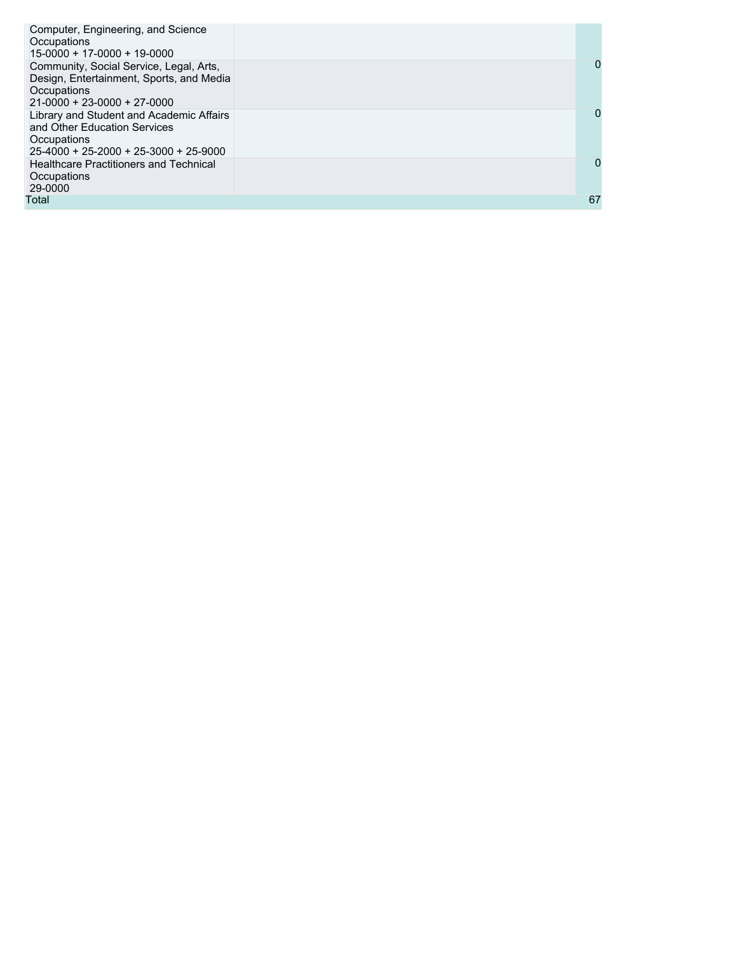| Computer, Engineering, and Science<br>Occupations<br>15-0000 + 17-0000 + 19-0000                                                    |    |
|-------------------------------------------------------------------------------------------------------------------------------------|----|
| Community, Social Service, Legal, Arts,<br>Design, Entertainment, Sports, and Media<br>Occupations<br>$21-0000 + 23-0000 + 27-0000$ | 0  |
| Library and Student and Academic Affairs<br>and Other Education Services<br>Occupations<br>$25-4000 + 25-2000 + 25-3000 + 25-9000$  | 0  |
| <b>Healthcare Practitioners and Technical</b><br>Occupations<br>29-0000                                                             | 0  |
| Total                                                                                                                               | 67 |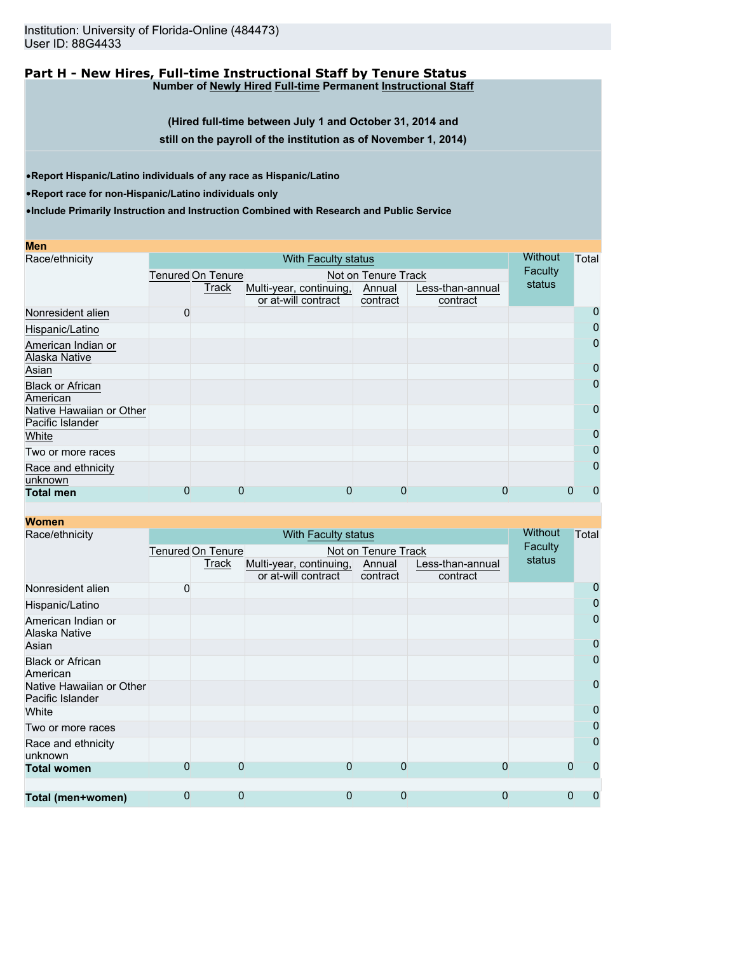### **Part H - New Hires, Full-time Instructional Staff by Tenure Status Number of Newly Hired Full-time Permanent Instructional Staff**

**(Hired full-time between July 1 and October 31, 2014 and**

**still on the payroll of the institution as of November 1, 2014)**

•**Report Hispanic/Latino individuals of any race as Hispanic/Latino**

•**Report race for non-Hispanic/Latino individuals only**

**Women**

| <b>Men</b>                                   |   |                          |                                                |   |                     |                              |         |  |                |
|----------------------------------------------|---|--------------------------|------------------------------------------------|---|---------------------|------------------------------|---------|--|----------------|
| Race/ethnicity                               |   | <b>Without</b>           | Total                                          |   |                     |                              |         |  |                |
|                                              |   | <b>Tenured On Tenure</b> |                                                |   | Not on Tenure Track |                              | Faculty |  |                |
|                                              |   | Track                    | Multi-year, continuing,<br>or at-will contract |   | Annual<br>contract  | Less-than-annual<br>contract | status  |  |                |
| Nonresident alien                            | 0 |                          |                                                |   |                     |                              |         |  | 0              |
| Hispanic/Latino                              |   |                          |                                                |   |                     |                              |         |  | $\overline{0}$ |
| American Indian or<br>Alaska Native          |   |                          |                                                |   |                     |                              |         |  | $\overline{0}$ |
| Asian                                        |   |                          |                                                |   |                     |                              |         |  | $\mathbf 0$    |
| <b>Black or African</b><br>American          |   |                          |                                                |   |                     |                              |         |  | $\overline{0}$ |
| Native Hawaiian or Other<br>Pacific Islander |   |                          |                                                |   |                     |                              |         |  | $\overline{0}$ |
| White                                        |   |                          |                                                |   |                     |                              |         |  | $\overline{0}$ |
| Two or more races                            |   |                          |                                                |   |                     |                              |         |  | $\overline{0}$ |
| Race and ethnicity<br>unknown                |   |                          |                                                |   |                     |                              |         |  | $\overline{0}$ |
| <b>Total men</b>                             | 0 | 0                        |                                                | 0 | 0                   |                              | 0       |  | 0              |

| <u>women</u>                                 |                   |                |                         |                     |                  |         |                |
|----------------------------------------------|-------------------|----------------|-------------------------|---------------------|------------------|---------|----------------|
| Race/ethnicity                               |                   | <b>Without</b> | Total                   |                     |                  |         |                |
|                                              | Tenured On Tenure |                |                         | Not on Tenure Track |                  | Faculty |                |
|                                              |                   | Track          | Multi-year, continuing, | Annual              | Less-than-annual | status  |                |
|                                              |                   |                | or at-will contract     | contract            | contract         |         |                |
| Nonresident alien                            | 0                 |                |                         |                     |                  |         | 0              |
| Hispanic/Latino                              |                   |                |                         |                     |                  |         | 0              |
| American Indian or<br>Alaska Native          |                   |                |                         |                     |                  |         | $\mathbf 0$    |
| Asian                                        |                   |                |                         |                     |                  |         | 0              |
| <b>Black or African</b><br>American          |                   |                |                         |                     |                  |         | 0              |
| Native Hawaiian or Other<br>Pacific Islander |                   |                |                         |                     |                  |         | $\overline{0}$ |
| White                                        |                   |                |                         |                     |                  |         | 0              |
| Two or more races                            |                   |                |                         |                     |                  |         | 0              |
| Race and ethnicity<br>unknown                |                   |                |                         |                     |                  |         | 0              |
| <b>Total women</b>                           | ი                 | 0              | 0                       | 0                   | 0                |         | $\Omega$<br>0  |
|                                              |                   |                |                         |                     |                  |         |                |
| Total (men+women)                            | 0                 | 0              | 0                       | 0                   | 0                |         | 0<br>0         |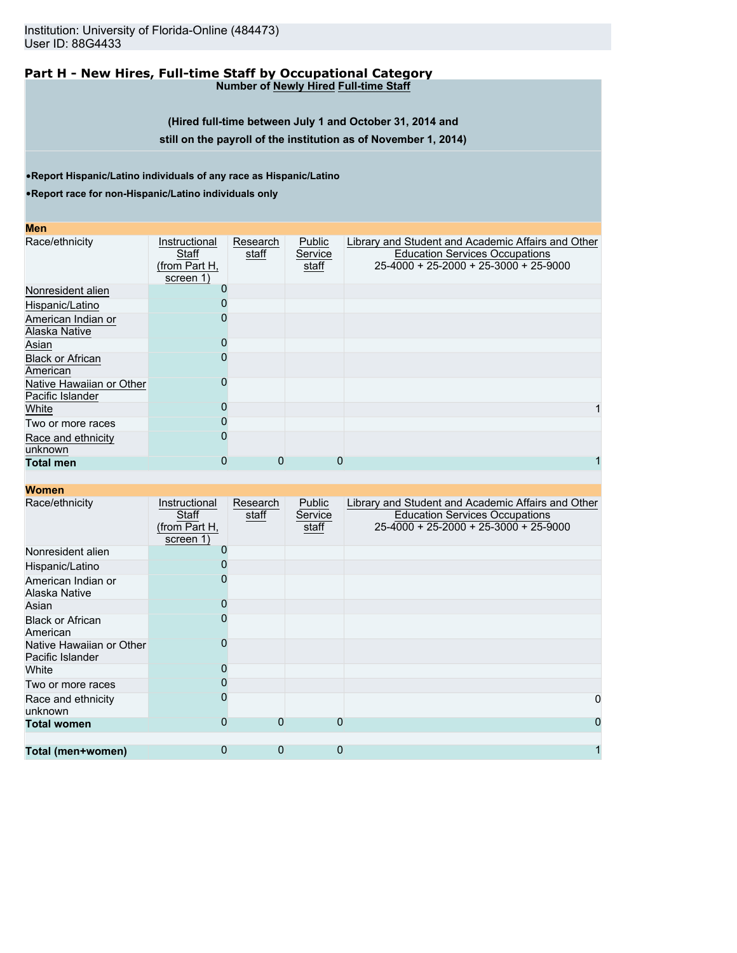Institution: University of Florida-Online (484473) User ID: 88G4433

#### **Part H - New Hires, Full-time Staff by Occupational Category Number of Newly Hired Full-time Staff**

**(Hired full-time between July 1 and October 31, 2014 and still on the payroll of the institution as of November 1, 2014)**

•**Report Hispanic/Latino individuals of any race as Hispanic/Latino**

•**Report race for non-Hispanic/Latino individuals only**

| <b>Men</b>                                   |                                                      |                   |                            |                                                                                                                                        |
|----------------------------------------------|------------------------------------------------------|-------------------|----------------------------|----------------------------------------------------------------------------------------------------------------------------------------|
| Race/ethnicity                               | Instructional<br>Staff<br>(from Part H,<br>screen 1) | Research<br>staff | Public<br>Service<br>staff | Library and Student and Academic Affairs and Other<br><b>Education Services Occupations</b><br>$25-4000 + 25-2000 + 25-3000 + 25-9000$ |
| Nonresident alien                            |                                                      |                   |                            |                                                                                                                                        |
| Hispanic/Latino                              |                                                      |                   |                            |                                                                                                                                        |
| American Indian or<br>Alaska Native          |                                                      |                   |                            |                                                                                                                                        |
| Asian                                        |                                                      |                   |                            |                                                                                                                                        |
| <b>Black or African</b><br>American          |                                                      |                   |                            |                                                                                                                                        |
| Native Hawaiian or Other<br>Pacific Islander |                                                      |                   |                            |                                                                                                                                        |
| White                                        |                                                      |                   |                            |                                                                                                                                        |
| Two or more races                            |                                                      |                   |                            |                                                                                                                                        |
| Race and ethnicity<br>unknown                |                                                      |                   |                            |                                                                                                                                        |
| <b>Total men</b>                             | 0                                                    | 0                 | 0                          |                                                                                                                                        |

| Race/ethnicity                               | Instructional<br>Staff<br>(from Part H,<br>screen 1) | Research<br>staff | Public<br>Service<br>staff | Library and Student and Academic Affairs and Other<br><b>Education Services Occupations</b><br>$25-4000 + 25-2000 + 25-3000 + 25-9000$ |
|----------------------------------------------|------------------------------------------------------|-------------------|----------------------------|----------------------------------------------------------------------------------------------------------------------------------------|
| Nonresident alien                            |                                                      |                   |                            |                                                                                                                                        |
| Hispanic/Latino                              |                                                      |                   |                            |                                                                                                                                        |
| American Indian or<br>Alaska Native          |                                                      |                   |                            |                                                                                                                                        |
| Asian                                        |                                                      |                   |                            |                                                                                                                                        |
| <b>Black or African</b><br>American          |                                                      |                   |                            |                                                                                                                                        |
| Native Hawaiian or Other<br>Pacific Islander |                                                      |                   |                            |                                                                                                                                        |
| White                                        |                                                      |                   |                            |                                                                                                                                        |
| Two or more races                            |                                                      |                   |                            |                                                                                                                                        |
| Race and ethnicity<br>unknown                |                                                      |                   |                            | 0                                                                                                                                      |
| <b>Total women</b>                           | 0                                                    | 0                 | $\Omega$                   | 0                                                                                                                                      |
|                                              |                                                      |                   |                            |                                                                                                                                        |
| Total (men+women)                            | 0                                                    | 0                 | $\Omega$                   |                                                                                                                                        |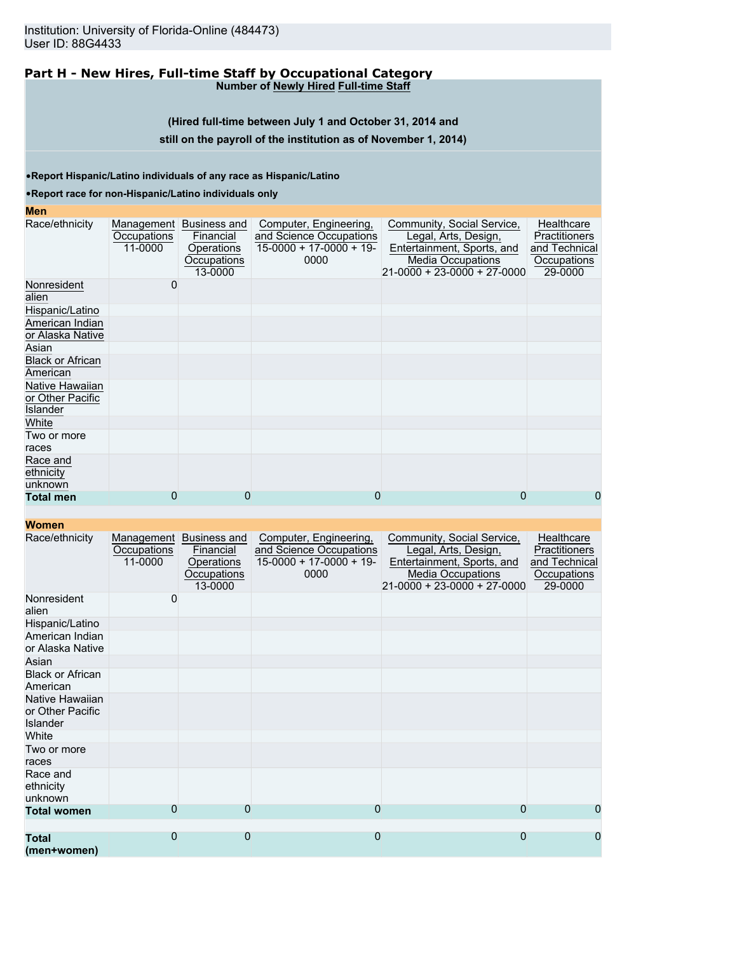#### **Part H - New Hires, Full-time Staff by Occupational Category Number of Newly Hired Full-time Staff**

**(Hired full-time between July 1 and October 31, 2014 and**

### **still on the payroll of the institution as of November 1, 2014)**

•**Report Hispanic/Latino individuals of any race as Hispanic/Latino**

### •**Report race for non-Hispanic/Latino individuals only**

# **Men**

| шы                                              |                                      |                                                                   |                                                                                        |                                                                                                                                             |                                                                        |
|-------------------------------------------------|--------------------------------------|-------------------------------------------------------------------|----------------------------------------------------------------------------------------|---------------------------------------------------------------------------------------------------------------------------------------------|------------------------------------------------------------------------|
| Race/ethnicity                                  | Management<br>Occupations<br>11-0000 | Business and<br>Financial<br>Operations<br>Occupations<br>13-0000 | Computer, Engineering,<br>and Science Occupations<br>$15-0000 + 17-0000 + 19-$<br>0000 | Community, Social Service,<br>Legal, Arts, Design,<br>Entertainment, Sports, and<br><b>Media Occupations</b><br>21-0000 + 23-0000 + 27-0000 | Healthcare<br>Practitioners<br>and Technical<br>Occupations<br>29-0000 |
| Nonresident<br>alien                            | 0                                    |                                                                   |                                                                                        |                                                                                                                                             |                                                                        |
| Hispanic/Latino                                 |                                      |                                                                   |                                                                                        |                                                                                                                                             |                                                                        |
| American Indian<br>or Alaska Native             |                                      |                                                                   |                                                                                        |                                                                                                                                             |                                                                        |
| Asian                                           |                                      |                                                                   |                                                                                        |                                                                                                                                             |                                                                        |
| <b>Black or African</b><br>American             |                                      |                                                                   |                                                                                        |                                                                                                                                             |                                                                        |
| Native Hawaiian<br>or Other Pacific<br>Islander |                                      |                                                                   |                                                                                        |                                                                                                                                             |                                                                        |
| White                                           |                                      |                                                                   |                                                                                        |                                                                                                                                             |                                                                        |
| Two or more<br>races                            |                                      |                                                                   |                                                                                        |                                                                                                                                             |                                                                        |
| Race and<br>ethnicity<br>unknown                |                                      |                                                                   |                                                                                        |                                                                                                                                             |                                                                        |
| <b>Total men</b>                                | 0                                    | 0                                                                 | 0                                                                                      | 0                                                                                                                                           | 0                                                                      |
|                                                 |                                      |                                                                   |                                                                                        |                                                                                                                                             |                                                                        |

| Race/ethnicity                                  | Management<br>Occupations<br>11-0000 | Business and<br>Financial<br>Operations<br>Occupations<br>13-0000 | Computer, Engineering,<br>and Science Occupations<br>$15-0000 + 17-0000 + 19$<br>0000 | Community, Social Service,<br>Legal, Arts, Design,<br>Entertainment, Sports, and<br><b>Media Occupations</b><br>$21-0000 + 23-0000 + 27-0000$ | Healthcare<br><b>Practitioners</b><br>and Technical<br>Occupations<br>29-0000 |
|-------------------------------------------------|--------------------------------------|-------------------------------------------------------------------|---------------------------------------------------------------------------------------|-----------------------------------------------------------------------------------------------------------------------------------------------|-------------------------------------------------------------------------------|
| Nonresident<br>alien                            | 0                                    |                                                                   |                                                                                       |                                                                                                                                               |                                                                               |
| Hispanic/Latino                                 |                                      |                                                                   |                                                                                       |                                                                                                                                               |                                                                               |
| American Indian<br>or Alaska Native             |                                      |                                                                   |                                                                                       |                                                                                                                                               |                                                                               |
| Asian                                           |                                      |                                                                   |                                                                                       |                                                                                                                                               |                                                                               |
| <b>Black or African</b><br>American             |                                      |                                                                   |                                                                                       |                                                                                                                                               |                                                                               |
| Native Hawaiian<br>or Other Pacific<br>Islander |                                      |                                                                   |                                                                                       |                                                                                                                                               |                                                                               |
| White                                           |                                      |                                                                   |                                                                                       |                                                                                                                                               |                                                                               |
| Two or more<br>races                            |                                      |                                                                   |                                                                                       |                                                                                                                                               |                                                                               |
| Race and<br>ethnicity<br>unknown                |                                      |                                                                   |                                                                                       |                                                                                                                                               |                                                                               |
| <b>Total women</b>                              | $\Omega$                             | 0                                                                 | $\Omega$                                                                              | $\overline{0}$                                                                                                                                | 0                                                                             |
|                                                 |                                      |                                                                   |                                                                                       |                                                                                                                                               |                                                                               |
| <b>Total</b><br>(men+women)                     | $\mathbf{0}$                         | 0                                                                 | 0                                                                                     | 0                                                                                                                                             | 0                                                                             |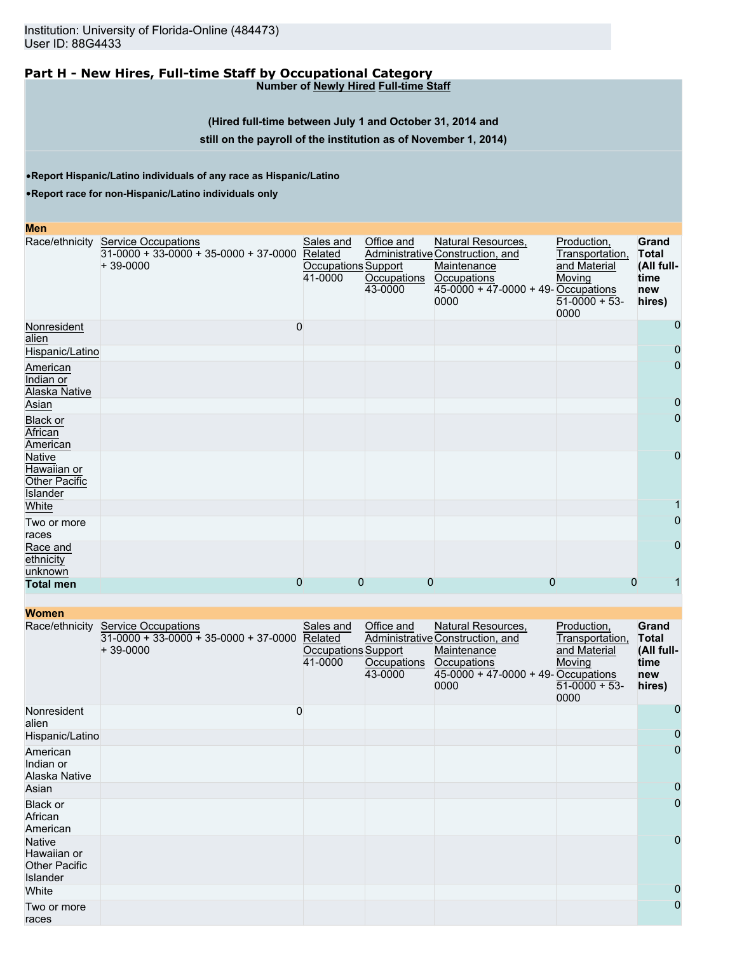### **Part H - New Hires, Full-time Staff by Occupational Category Number of Newly Hired Full-time Staff**

### **(Hired full-time between July 1 and October 31, 2014 and**

### **still on the payroll of the institution as of November 1, 2014)**

•**Report Hispanic/Latino individuals of any race as Hispanic/Latino**

•**Report race for non-Hispanic/Latino individuals only**

| Men                                                       |                                                                                                     |                                             |                                      |                                                                                                                                       |                                                                                    |                                                              |
|-----------------------------------------------------------|-----------------------------------------------------------------------------------------------------|---------------------------------------------|--------------------------------------|---------------------------------------------------------------------------------------------------------------------------------------|------------------------------------------------------------------------------------|--------------------------------------------------------------|
|                                                           | Race/ethnicity Service Occupations<br>$31-0000 + 33-0000 + 35-0000 + 37-0000$ Related<br>$+39-0000$ | Sales and<br>Occupations Support<br>41-0000 | Office and<br>Occupations<br>43-0000 | Natural Resources,<br>Administrative Construction, and<br>Maintenance<br>Occupations<br>$45-0000 + 47-0000 + 49$ -Occupations<br>0000 | Production,<br>Transportation,<br>and Material<br>Moving<br>$51-0000 + 53$<br>0000 | Grand<br><b>Total</b><br>(All full-<br>time<br>new<br>hires) |
| Nonresident<br>alien                                      | 0                                                                                                   |                                             |                                      |                                                                                                                                       |                                                                                    | 0                                                            |
| Hispanic/Latino                                           |                                                                                                     |                                             |                                      |                                                                                                                                       |                                                                                    | 0                                                            |
| American<br>Indian or<br>Alaska Native                    |                                                                                                     |                                             |                                      |                                                                                                                                       |                                                                                    | 0                                                            |
| Asian                                                     |                                                                                                     |                                             |                                      |                                                                                                                                       |                                                                                    | 0                                                            |
| Black or<br>African<br>American                           |                                                                                                     |                                             |                                      |                                                                                                                                       |                                                                                    | $\overline{0}$                                               |
| <b>Native</b><br>Hawaiian or<br>Other Pacific<br>Islander |                                                                                                     |                                             |                                      |                                                                                                                                       |                                                                                    | 0                                                            |
| White                                                     |                                                                                                     |                                             |                                      |                                                                                                                                       |                                                                                    |                                                              |
| Two or more<br>races                                      |                                                                                                     |                                             |                                      |                                                                                                                                       |                                                                                    | 0                                                            |
| Race and<br>ethnicity<br>unknown                          |                                                                                                     |                                             |                                      |                                                                                                                                       |                                                                                    | 0                                                            |
| <b>Total men</b>                                          | 0                                                                                                   |                                             | 0<br>0                               |                                                                                                                                       | 0                                                                                  | 0                                                            |

| <b>Women</b>                                                     |                                                                              |                                                               |                                      |                                                                                                                                       |                                                                                    |                                                              |
|------------------------------------------------------------------|------------------------------------------------------------------------------|---------------------------------------------------------------|--------------------------------------|---------------------------------------------------------------------------------------------------------------------------------------|------------------------------------------------------------------------------------|--------------------------------------------------------------|
| Race/ethnicity                                                   | Service Occupations<br>$31-0000 + 33-0000 + 35-0000 + 37-0000$<br>$+39-0000$ | Sales and<br>Related<br><b>Occupations Support</b><br>41-0000 | Office and<br>Occupations<br>43-0000 | Natural Resources,<br>Administrative Construction, and<br>Maintenance<br>Occupations<br>$45-0000 + 47-0000 + 49$ -Occupations<br>0000 | Production,<br>Transportation,<br>and Material<br>Moving<br>$51-0000 + 53$<br>0000 | Grand<br><b>Total</b><br>(All full-<br>time<br>new<br>hires) |
| Nonresident<br>alien                                             |                                                                              | 0                                                             |                                      |                                                                                                                                       |                                                                                    | 0                                                            |
| Hispanic/Latino                                                  |                                                                              |                                                               |                                      |                                                                                                                                       |                                                                                    | $\mathbf 0$                                                  |
| American<br>Indian or<br>Alaska Native                           |                                                                              |                                                               |                                      |                                                                                                                                       |                                                                                    | $\mathbf{0}$                                                 |
| Asian                                                            |                                                                              |                                                               |                                      |                                                                                                                                       |                                                                                    | 0                                                            |
| Black or<br>African<br>American                                  |                                                                              |                                                               |                                      |                                                                                                                                       |                                                                                    | $\overline{0}$                                               |
| <b>Native</b><br>Hawaiian or<br><b>Other Pacific</b><br>Islander |                                                                              |                                                               |                                      |                                                                                                                                       |                                                                                    | $\overline{0}$                                               |
| White                                                            |                                                                              |                                                               |                                      |                                                                                                                                       |                                                                                    | 0                                                            |
| Two or more<br>races                                             |                                                                              |                                                               |                                      |                                                                                                                                       |                                                                                    | $\mathbf 0$                                                  |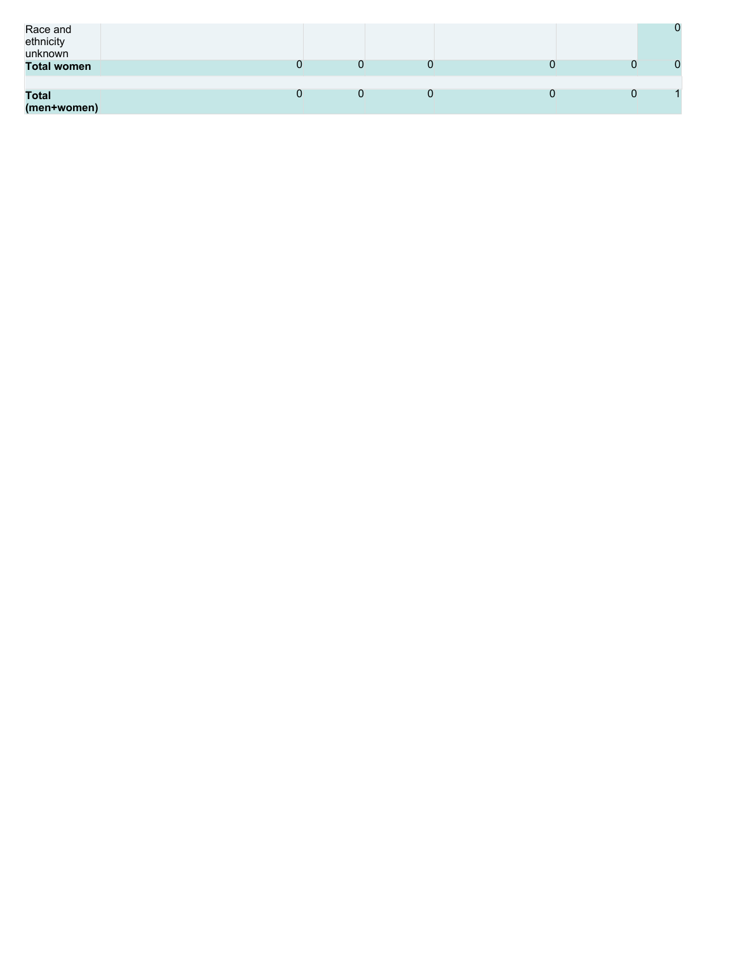| Race and<br>ethnicity<br>unknown |  |  | 0 |
|----------------------------------|--|--|---|
| <b>Total women</b>               |  |  | 0 |
| <b>Total</b><br>(men+women)      |  |  |   |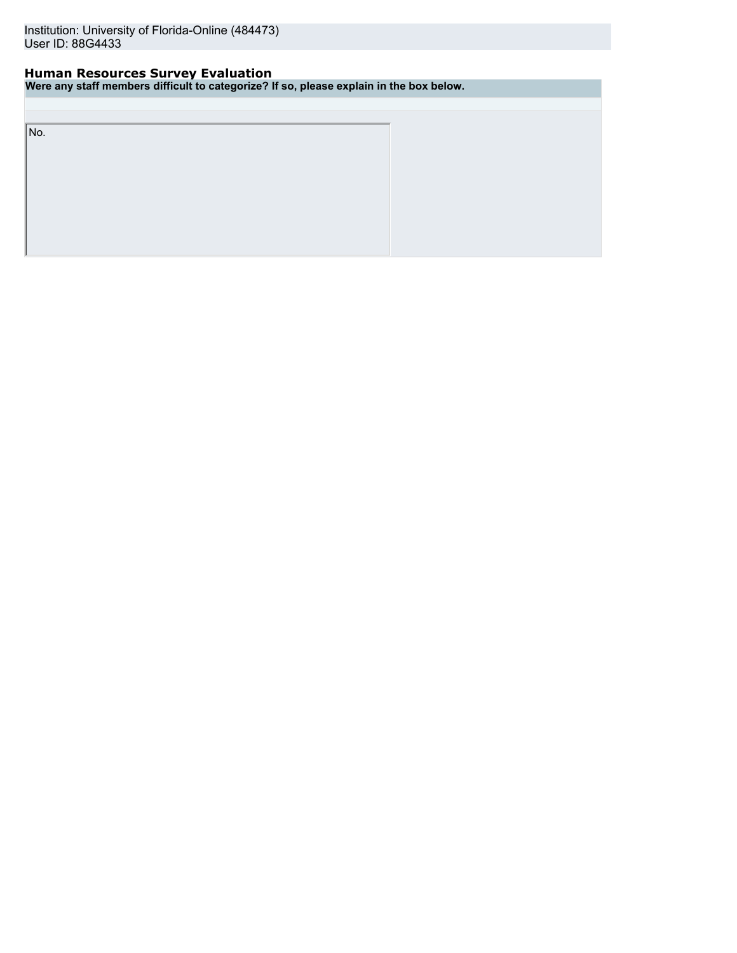# **Human Resources Survey Evaluation**

**Were any staff members difficult to categorize? If so, please explain in the box below.**

No.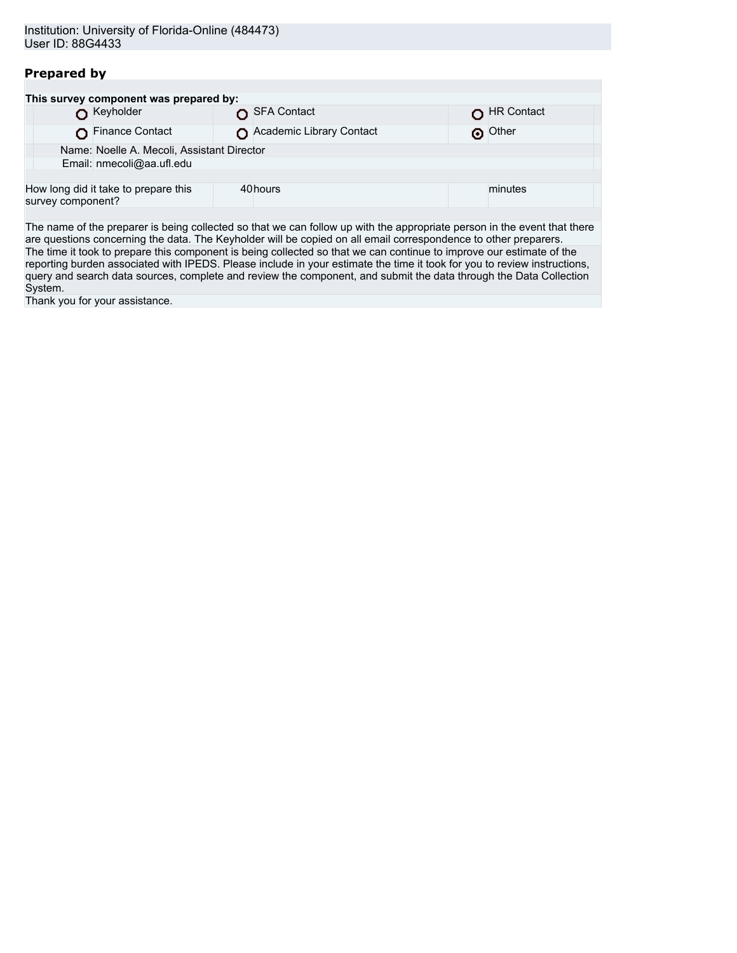# **Prepared by**

|                   | This survey component was prepared by:     |                          |            |  |
|-------------------|--------------------------------------------|--------------------------|------------|--|
|                   | Keyholder                                  | SFA Contact              | HR Contact |  |
|                   | Finance Contact                            | Academic Library Contact | o Other    |  |
|                   | Name: Noelle A. Mecoli, Assistant Director |                          |            |  |
|                   | Email: nmecoli@aa.ufl.edu                  |                          |            |  |
|                   |                                            |                          |            |  |
| survey component? | How long did it take to prepare this       | 40hours                  | minutes    |  |
|                   |                                            |                          |            |  |

The name of the preparer is being collected so that we can follow up with the appropriate person in the event that there are questions concerning the data. The Keyholder will be copied on all email correspondence to other preparers. The time it took to prepare this component is being collected so that we can continue to improve our estimate of the reporting burden associated with IPEDS. Please include in your estimate the time it took for you to review instructions, query and search data sources, complete and review the component, and submit the data through the Data Collection System.

Thank you for your assistance.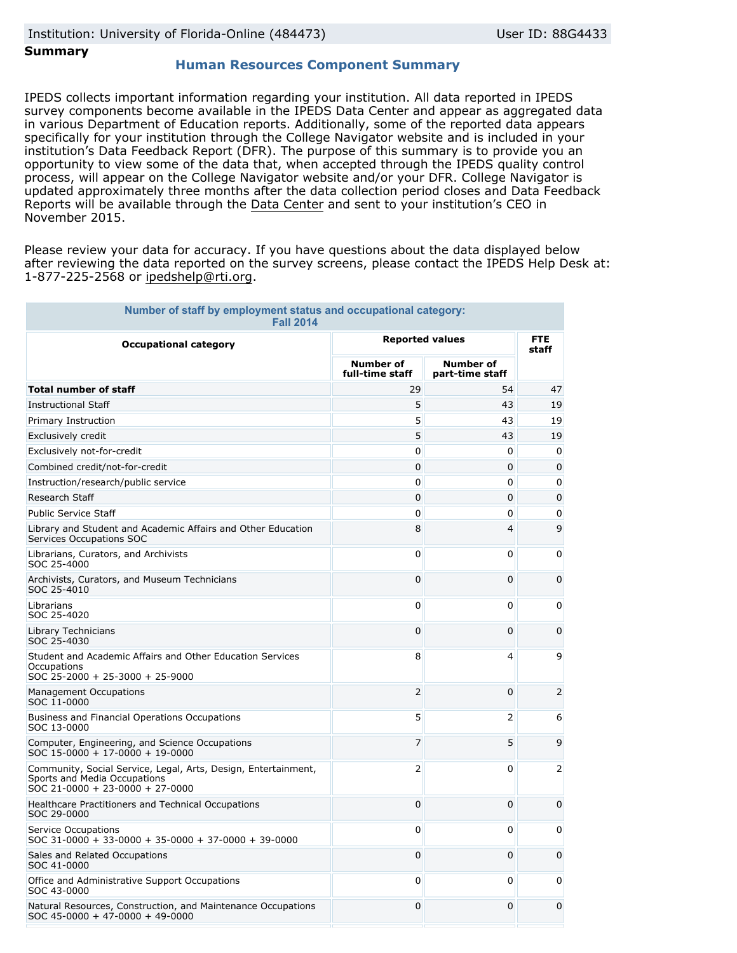# **Summary**

## **Human Resources Component Summary**

IPEDS collects important information regarding your institution. All data reported in IPEDS survey components become available in the IPEDS Data Center and appear as aggregated data in various Department of Education reports. Additionally, some of the reported data appears specifically for your institution through the College Navigator website and is included in your institution's Data Feedback Report (DFR). The purpose of this summary is to provide you an opportunity to view some of the data that, when accepted through the IPEDS quality control process, will appear on the College Navigator website and/or your DFR. College Navigator is updated approximately three months after the data collection period closes and Data Feedback Reports will be available through the [Data Center](http://nces.ed.gov/ipeds/datacenter/) and sent to your institution's CEO in November 2015.

Please review your data for accuracy. If you have questions about the data displayed below after reviewing the data reported on the survey screens, please contact the IPEDS Help Desk at: 1-877-225-2568 or ipedshelp@rti.org.

| Number of staff by employment status and occupational category:<br><b>Fall 2014</b>                                               |                                     |                                     |                     |  |  |  |  |
|-----------------------------------------------------------------------------------------------------------------------------------|-------------------------------------|-------------------------------------|---------------------|--|--|--|--|
| <b>Occupational category</b>                                                                                                      | <b>Reported values</b>              |                                     | <b>FTE</b><br>staff |  |  |  |  |
|                                                                                                                                   | <b>Number of</b><br>full-time staff | <b>Number of</b><br>part-time staff |                     |  |  |  |  |
| <b>Total number of staff</b>                                                                                                      | 29                                  | 54                                  | 47                  |  |  |  |  |
| <b>Instructional Staff</b>                                                                                                        | 5                                   | 43                                  | 19                  |  |  |  |  |
| Primary Instruction                                                                                                               | 5                                   | 43                                  | 19                  |  |  |  |  |
| Exclusively credit                                                                                                                | 5                                   | 43                                  | 19                  |  |  |  |  |
| Exclusively not-for-credit                                                                                                        | 0                                   | $\Omega$                            | 0                   |  |  |  |  |
| Combined credit/not-for-credit                                                                                                    | 0                                   | 0                                   | 0                   |  |  |  |  |
| Instruction/research/public service                                                                                               | 0                                   | 0                                   | 0                   |  |  |  |  |
| Research Staff                                                                                                                    | $\mathbf 0$                         | 0                                   | 0                   |  |  |  |  |
| <b>Public Service Staff</b>                                                                                                       | 0                                   | 0                                   | 0                   |  |  |  |  |
| Library and Student and Academic Affairs and Other Education<br>Services Occupations SOC                                          | 8                                   | 4                                   | 9                   |  |  |  |  |
| Librarians, Curators, and Archivists<br>SOC 25-4000                                                                               | 0                                   | 0                                   | 0                   |  |  |  |  |
| Archivists, Curators, and Museum Technicians<br>SOC 25-4010                                                                       | $\mathbf 0$                         | 0                                   | 0                   |  |  |  |  |
| Librarians<br>SOC 25-4020                                                                                                         | 0                                   | 0                                   | 0                   |  |  |  |  |
| Library Technicians<br>SOC 25-4030                                                                                                | 0                                   | 0                                   | 0                   |  |  |  |  |
| Student and Academic Affairs and Other Education Services<br>Occupations<br>SOC 25-2000 + 25-3000 + 25-9000                       | 8                                   | 4                                   | 9                   |  |  |  |  |
| <b>Management Occupations</b><br>SOC 11-0000                                                                                      | $\overline{2}$                      | 0                                   | 2                   |  |  |  |  |
| Business and Financial Operations Occupations<br>SOC 13-0000                                                                      | 5                                   | 2                                   | 6                   |  |  |  |  |
| Computer, Engineering, and Science Occupations<br>SOC 15-0000 + 17-0000 + 19-0000                                                 | $\overline{7}$                      | 5                                   | 9                   |  |  |  |  |
| Community, Social Service, Legal, Arts, Design, Entertainment,<br>Sports and Media Occupations<br>SOC 21-0000 + 23-0000 + 27-0000 | 2                                   | 0                                   | 2                   |  |  |  |  |
| Healthcare Practitioners and Technical Occupations<br>SOC 29-0000                                                                 | $\Omega$                            | 0                                   | 0                   |  |  |  |  |
| Service Occupations<br>SOC 31-0000 + 33-0000 + 35-0000 + 37-0000 + 39-0000                                                        | 0                                   | 0                                   | 0                   |  |  |  |  |
| Sales and Related Occupations<br>SOC 41-0000                                                                                      | $\overline{0}$                      | 0                                   | 0                   |  |  |  |  |
| Office and Administrative Support Occupations<br>SOC 43-0000                                                                      | 0                                   | 0                                   | 0                   |  |  |  |  |
| Natural Resources, Construction, and Maintenance Occupations<br>$SOC$ 45-0000 + 47-0000 + 49-0000                                 | 0                                   | 0                                   | 0                   |  |  |  |  |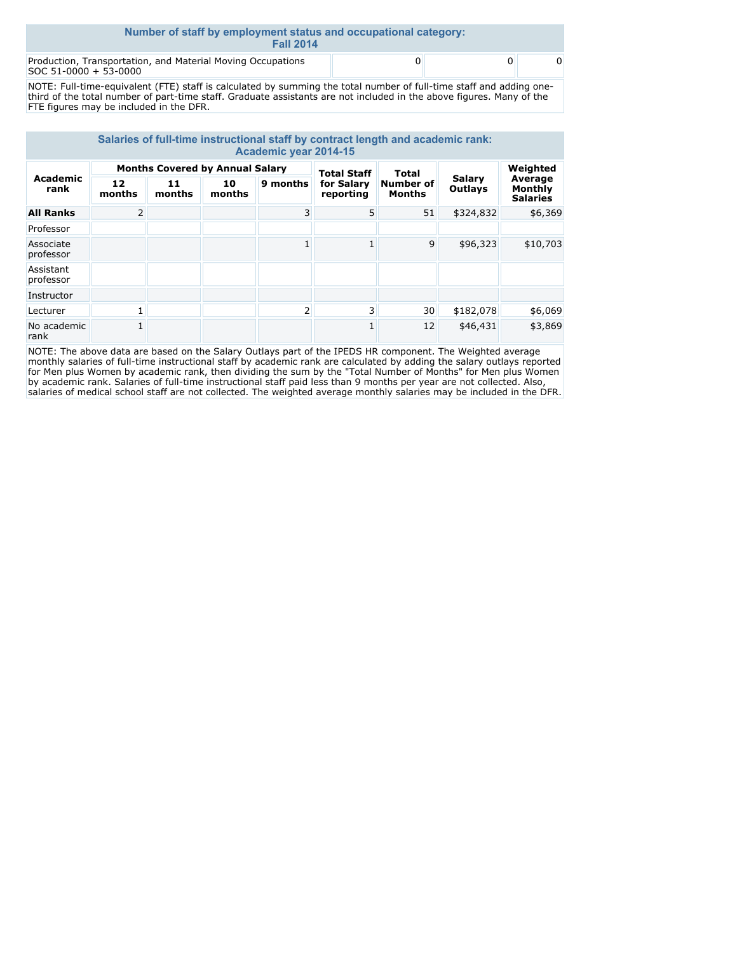| Number of staff by employment status and occupational category:<br><b>Fall 2014</b>  |  |  |
|--------------------------------------------------------------------------------------|--|--|
| Production, Transportation, and Material Moving Occupations<br>SOC 51-0000 + 53-0000 |  |  |

NOTE: Full-time-equivalent (FTE) staff is calculated by summing the total number of full-time staff and adding onethird of the total number of part-time staff. Graduate assistants are not included in the above figures. Many of the FTE figures may be included in the DFR.

| Salaries of full-time instructional staff by contract length and academic rank:<br><b>Academic year 2014-15</b> |                                        |              |              |                |                         |       |           |                            |                   |                                       |
|-----------------------------------------------------------------------------------------------------------------|----------------------------------------|--------------|--------------|----------------|-------------------------|-------|-----------|----------------------------|-------------------|---------------------------------------|
|                                                                                                                 | <b>Months Covered by Annual Salary</b> |              |              |                | <b>Total Staff</b>      | Total |           | Weighted                   |                   |                                       |
| <b>Academic</b><br>rank                                                                                         | 12<br>months                           | 11<br>months | 10<br>months | 9 months       | for Salary<br>reporting |       |           | Number of<br><b>Months</b> | Salary<br>Outlays | Average<br>Monthly<br><b>Salaries</b> |
| <b>All Ranks</b>                                                                                                | 2                                      |              |              | $\overline{3}$ | 5                       | 51    | \$324,832 | \$6,369                    |                   |                                       |
| Professor                                                                                                       |                                        |              |              |                |                         |       |           |                            |                   |                                       |
| Associate<br>professor                                                                                          |                                        |              |              |                |                         | 9     | \$96,323  | \$10,703                   |                   |                                       |
| Assistant<br>professor                                                                                          |                                        |              |              |                |                         |       |           |                            |                   |                                       |
| Instructor                                                                                                      |                                        |              |              |                |                         |       |           |                            |                   |                                       |
| Lecturer                                                                                                        |                                        |              |              | $\overline{2}$ | $\overline{3}$          | 30    | \$182,078 | \$6,069                    |                   |                                       |
| No academic<br>rank                                                                                             |                                        |              |              |                |                         | 12    | \$46,431  | \$3,869                    |                   |                                       |

NOTE: The above data are based on the Salary Outlays part of the IPEDS HR component. The Weighted average monthly salaries of full-time instructional staff by academic rank are calculated by adding the salary outlays reported for Men plus Women by academic rank, then dividing the sum by the "Total Number of Months" for Men plus Women by academic rank. Salaries of full-time instructional staff paid less than 9 months per year are not collected. Also, salaries of medical school staff are not collected. The weighted average monthly salaries may be included in the DFR.